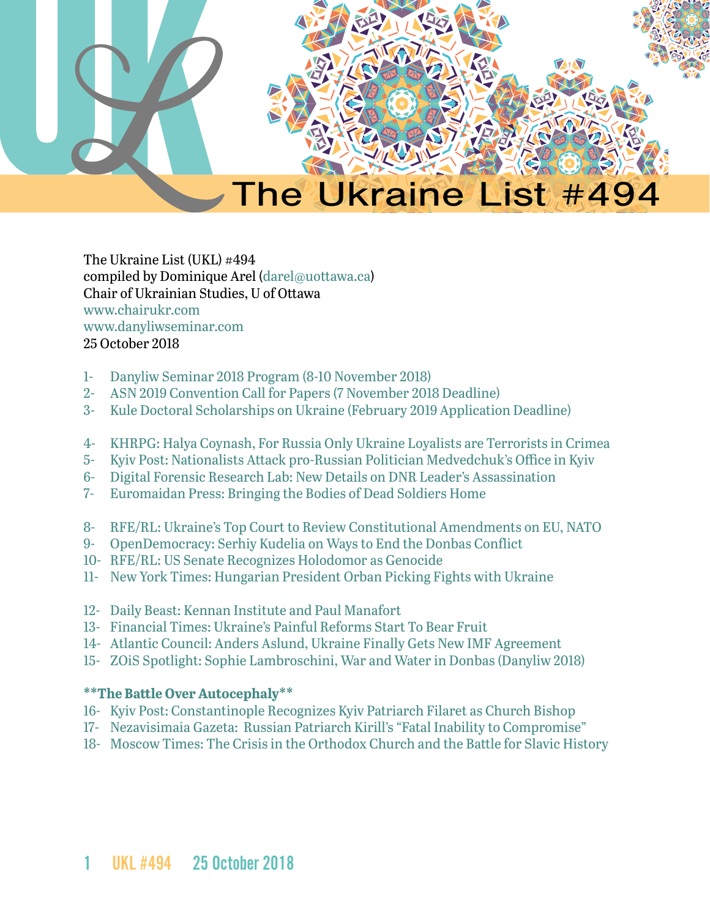

The Ukraine List (UKL) #494 compiled by Dominique Arel (darel@uottawa.ca) Chair of Ukrainian Studies, U of Ottawa [www.chairukr.com](http://www.chairukr.com) [www.danyliwseminar.com](http://www.danyliwseminar.com) 25 October 2018

- <span id="page-0-0"></span>1- [Danyliw Seminar 2018 Program \(8-10 November 2018\)](#page-1-0)
- 2- [ASN 2019 Convention Call for Papers \(7 November 2018 Deadline\)](#page-8-0)
- 3- [Kule Doctoral Scholarships on Ukraine \(February 2019 Application Deadline\)](#page-11-0)
- 4- [KHRPG: Halya Coynash, For Russia Only Ukraine Loyalists are Terrorists in Crimea](#page-12-0)
- 5- [Kyiv Post: Nationalists Attack pro-Russian Politician Medvedchuk's Office in Kyiv](#page-13-0)
- 6- [Digital Forensic Research Lab: New Details on DNR Leader's Assassination](#page-15-0)
- 7- [Euromaidan Press: Bringing the Bodies of Dead Soldiers Home](#page-19-0)
- 8- RFE/RL: Ukraine's Top Court to Review Constitutional Amendments on EU, NATO
- 9- [OpenDemocracy: Serhiy Kudelia on Ways to End the Donbas Conflict](#page-22-0)
- 10- [RFE/RL: US Senate Recognizes Holodomor as Genocide](#page-28-0)
- 11- [New York Times: Hungarian President Orban Picking Fights with Ukraine](#page-29-0)
- 12- [Daily Beast: Kennan Institute and Paul Manafort](#page-33-0)
- 13- Financial Times: Ukraine's Painful Reforms Start To Bear Fruit
- 14- [Atlantic Council: Anders Aslund, Ukraine Finally Gets New IMF Agreement](#page-38-0)
- 15- [ZOiS Spotlight: Sophie Lambroschini, War and Water in Donbas \(Danyliw 2018\)](#page-39-0)

#### **\*\*The Battle Over Autocephaly\*\***

- 16- [Kyiv Post: Constantinople Recognizes Kyiv Patriarch Filaret as Church Bishop](#page-41-0)
- 17- Nezavisimaia Gazeta: Russian Patriarch Kirill's "Fatal Inability to Compromise"
- 18- Moscow Times: The Crisis in the Orthodox Church and the Battle for Slavic History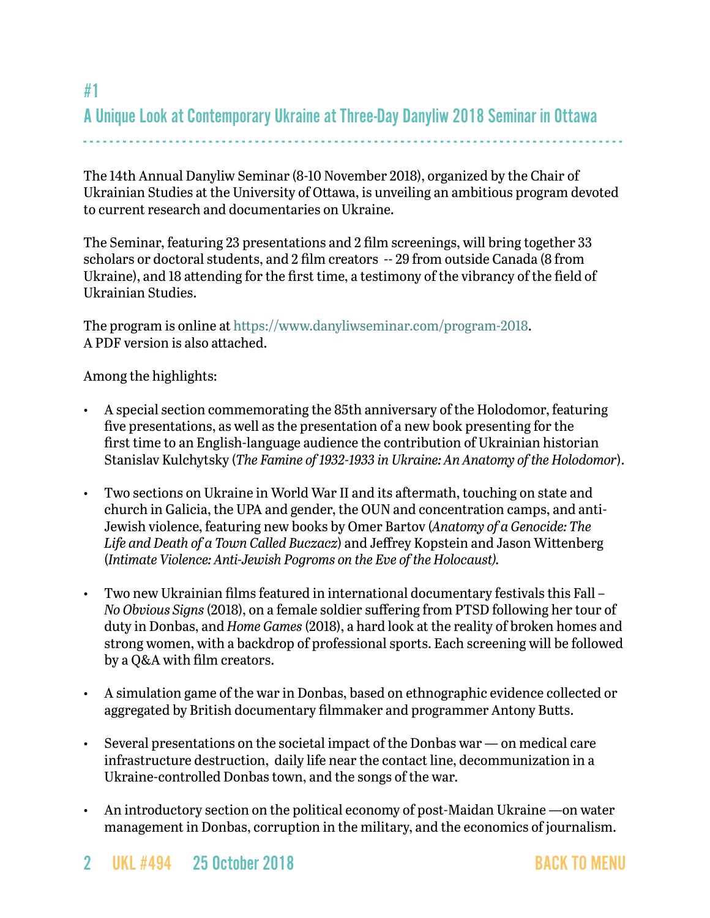# A Unique Look at Contemporary Ukraine at Three-Day Danyliw 2018 Seminar in Ottawa

The 14th Annual Danyliw Seminar (8-10 November 2018), organized by the Chair of Ukrainian Studies at the University of Ottawa, is unveiling an ambitious program devoted to current research and documentaries on Ukraine.

- - - - - - - - - - - - - - - - - - - - - - - - - - - - - - - - - - - - - - - - - - - - - - - - - - - - - - - - - - - - - - - - - - - - - - - - - - - - - - - - - -

The Seminar, featuring 23 presentations and 2 film screenings, will bring together 33 scholars or doctoral students, and 2 film creators -- 29 from outside Canada (8 from Ukraine), and 18 attending for the first time, a testimony of the vibrancy of the field of Ukrainian Studies.

The program is online at [https://www.danyliwseminar.com/program-2018.](https://www.danyliwseminar.com/program-2018) A PDF version is also attached.

### Among the highlights:

- A special section commemorating the 85th anniversary of the Holodomor, featuring five presentations, as well as the presentation of a new book presenting for the first time to an English-language audience the contribution of Ukrainian historian Stanislav Kulchytsky (*The Famine of 1932-1933 in Ukraine: An Anatomy of the Holodomor*).
- Two sections on Ukraine in World War II and its aftermath, touching on state and church in Galicia, the UPA and gender, the OUN and concentration camps, and anti-Jewish violence, featuring new books by Omer Bartov (*Anatomy of a Genocide: The Life and Death of a Town Called Buczacz*) and Jeffrey Kopstein and Jason Wittenberg (*Intimate Violence: Anti-Jewish Pogroms on the Eve of the Holocaust).*
- Two new Ukrainian films featured in international documentary festivals this Fall *No Obvious Signs* (2018), on a female soldier suffering from PTSD following her tour of duty in Donbas, and *Home Games* (2018), a hard look at the reality of broken homes and strong women, with a backdrop of professional sports. Each screening will be followed by a Q&A with film creators.
- A simulation game of the war in Donbas, based on ethnographic evidence collected or aggregated by British documentary filmmaker and programmer Antony Butts.
- Several presentations on the societal impact of the Donbas war on medical care infrastructure destruction, daily life near the contact line, decommunization in a Ukraine-controlled Donbas town, and the songs of the war.
- An introductory section on the political economy of post-Maidan Ukraine —on water management in Donbas, corruption in the military, and the economics of journalism.

### <span id="page-1-0"></span>#1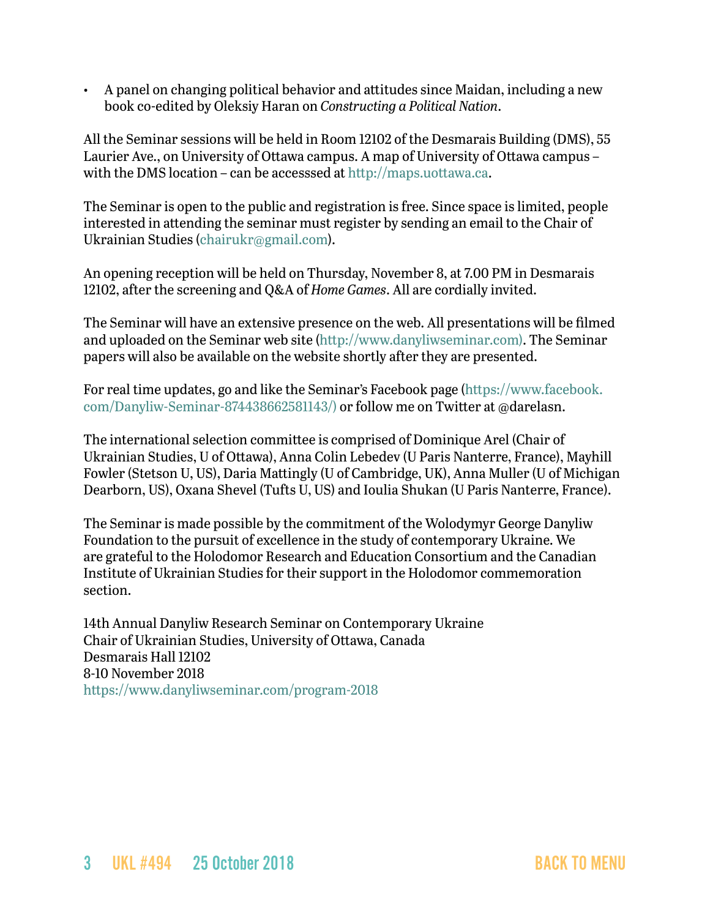• A panel on changing political behavior and attitudes since Maidan, including a new book co-edited by Oleksiy Haran on *Constructing a Political Nation*.

All the Seminar sessions will be held in Room 12102 of the Desmarais Building (DMS), 55 Laurier Ave., on University of Ottawa campus. A map of University of Ottawa campus – with the DMS location – can be accesssed at<http://maps.uottawa.ca>.

The Seminar is open to the public and registration is free. Since space is limited, people interested in attending the seminar must register by sending an email to the Chair of Ukrainian Studies [\(chairukr@gmail.com\)](mailto:chairukr@gmail.com).

An opening reception will be held on Thursday, November 8, at 7.00 PM in Desmarais 12102, after the screening and Q&A of *Home Games*. All are cordially invited.

The Seminar will have an extensive presence on the web. All presentations will be filmed and uploaded on the Seminar web site ([http://www.danyliwseminar.com\)](http://www.danyliwseminar.com)). The Seminar papers will also be available on the website shortly after they are presented.

For real time updates, go and like the Seminar's Facebook page [\(https://www.facebook.](https://www.facebook.com/Danyliw-Seminar-874438662581143/)) [com/Danyliw-Seminar-874438662581143/\)](https://www.facebook.com/Danyliw-Seminar-874438662581143/)) or follow me on Twitter at @darelasn.

The international selection committee is comprised of Dominique Arel (Chair of Ukrainian Studies, U of Ottawa), Anna Colin Lebedev (U Paris Nanterre, France), Mayhill Fowler (Stetson U, US), Daria Mattingly (U of Cambridge, UK), Anna Muller (U of Michigan Dearborn, US), Oxana Shevel (Tufts U, US) and Ioulia Shukan (U Paris Nanterre, France).

The Seminar is made possible by the commitment of the Wolodymyr George Danyliw Foundation to the pursuit of excellence in the study of contemporary Ukraine. We are grateful to the Holodomor Research and Education Consortium and the Canadian Institute of Ukrainian Studies for their support in the Holodomor commemoration section.

14th Annual Danyliw Research Seminar on Contemporary Ukraine Chair of Ukrainian Studies, University of Ottawa, Canada Desmarais Hall 12102 8-10 November 2018 <https://www.danyliwseminar.com/program-2018>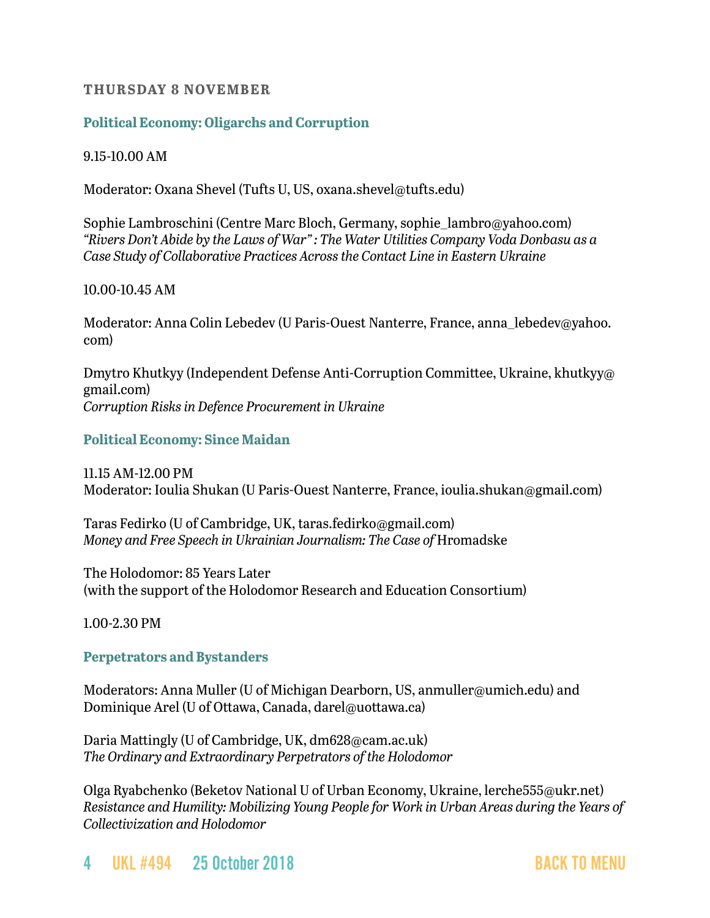#### **T H U RS DAY 8 N OV E M B E R**

#### **Political Economy: Oligarchs and Corruption**

#### 9.15-10.00 AM

Moderator: Oxana Shevel (Tufts U, US, oxana.shevel@tufts.edu)

Sophie Lambroschini (Centre Marc Bloch, Germany, sophie\_lambro@yahoo.com) *"Rivers Don't Abide by the Laws of War" : The Water Utilities Company Voda Donbasu as a Case Study of Collaborative Practices Across the Contact Line in Eastern Ukraine*

#### 10.00-10.45 AM

Moderator: Anna Colin Lebedev (U Paris-Ouest Nanterre, France, anna lebedev@yahoo. com)

Dmytro Khutkyy (Independent Defense Anti-Corruption Committee, Ukraine, khutkyy@ gmail.com) *Corruption Risks in Defence Procurement in Ukraine*

#### **Political Economy: Since Maidan**

11.15 AM-12.00 PM Moderator: Ioulia Shukan (U Paris-Ouest Nanterre, France, ioulia.shukan@gmail.com)

Taras Fedirko (U of Cambridge, UK, taras.fedirko@gmail.com) *Money and Free Speech in Ukrainian Journalism: The Case of* Hromadske

The Holodomor: 85 Years Later (with the support of the Holodomor Research and Education Consortium)

1.00-2.30 PM

#### **Perpetrators and Bystanders**

Moderators: Anna Muller (U of Michigan Dearborn, US, anmuller@umich.edu) and Dominique Arel (U of Ottawa, Canada, darel@uottawa.ca)

Daria Mattingly (U of Cambridge, UK, dm628@cam.ac.uk) *The Ordinary and Extraordinary Perpetrators of the Holodomor*

Olga Ryabchenko (Beketov National U of Urban Economy, Ukraine, lerche555@ukr.net) *Resistance and Humility: Mobilizing Young People for Work in Urban Areas during the Years of Collectivization and Holodomor*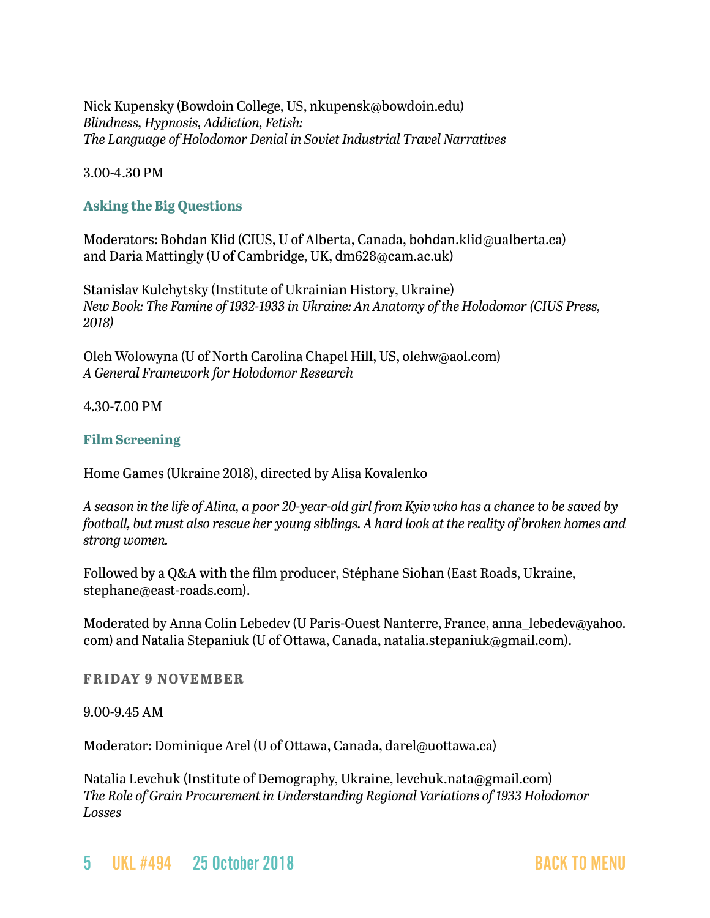Nick Kupensky (Bowdoin College, US, nkupensk@bowdoin.edu) *Blindness, Hypnosis, Addiction, Fetish: The Language of Holodomor Denial in Soviet Industrial Travel Narratives*

3.00-4.30 PM

#### **Asking the Big Questions**

Moderators: Bohdan Klid (CIUS, U of Alberta, Canada, bohdan.klid@ualberta.ca) and Daria Mattingly (U of Cambridge, UK, dm628@cam.ac.uk)

Stanislav Kulchytsky (Institute of Ukrainian History, Ukraine) *New Book: The Famine of 1932-1933 in Ukraine: An Anatomy of the Holodomor (CIUS Press, 2018)*

Oleh Wolowyna (U of North Carolina Chapel Hill, US, olehw@aol.com) *A General Framework for Holodomor Research*

4.30-7.00 PM

#### **Film Screening**

Home Games (Ukraine 2018), directed by Alisa Kovalenko

*A season in the life of Alina, a poor 20-year-old girl from Kyiv who has a chance to be saved by football, but must also rescue her young siblings. A hard look at the reality of broken homes and strong women.*

Followed by a Q&A with the film producer, Stéphane Siohan (East Roads, Ukraine, stephane@east-roads.com).

Moderated by Anna Colin Lebedev (U Paris-Ouest Nanterre, France, anna\_lebedev@yahoo. com) and Natalia Stepaniuk (U of Ottawa, Canada, natalia.stepaniuk@gmail.com).

**F R I DAY 9 N OV E M B E R**

#### 9.00-9.45 AM

Moderator: Dominique Arel (U of Ottawa, Canada, darel@uottawa.ca)

Natalia Levchuk (Institute of Demography, Ukraine, levchuk.nata@gmail.com) *The Role of Grain Procurement in Understanding Regional Variations of 1933 Holodomor Losses*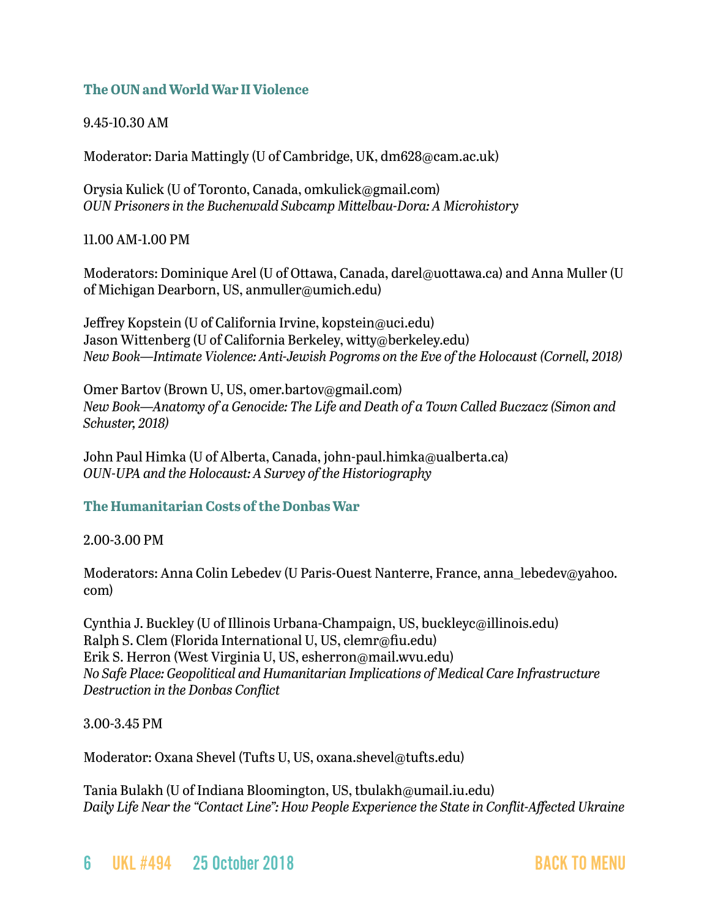### **The OUN and World War II Violence**

#### 9.45-10.30 AM

Moderator: Daria Mattingly (U of Cambridge, UK, dm628@cam.ac.uk)

Orysia Kulick (U of Toronto, Canada, omkulick@gmail.com) *OUN Prisoners in the Buchenwald Subcamp Mittelbau-Dora: A Microhistory*

#### 11.00 AM-1.00 PM

Moderators: Dominique Arel (U of Ottawa, Canada, darel@uottawa.ca) and Anna Muller (U of Michigan Dearborn, US, anmuller@umich.edu)

Jeffrey Kopstein (U of California Irvine, kopstein@uci.edu) Jason Wittenberg (U of California Berkeley, witty@berkeley.edu) *New Book—Intimate Violence: Anti-Jewish Pogroms on the Eve of the Holocaust (Cornell, 2018)*

Omer Bartov (Brown U, US, omer.bartov@gmail.com) *New Book—Anatomy of a Genocide: The Life and Death of a Town Called Buczacz (Simon and Schuster, 2018)*

John Paul Himka (U of Alberta, Canada, john-paul.himka@ualberta.ca) *OUN-UPA and the Holocaust: A Survey of the Historiography*

#### **The Humanitarian Costs of the Donbas War**

#### 2.00-3.00 PM

Moderators: Anna Colin Lebedev (U Paris-Ouest Nanterre, France, anna\_lebedev@yahoo. com)

Cynthia J. Buckley (U of Illinois Urbana-Champaign, US, buckleyc@illinois.edu) Ralph S. Clem (Florida International U, US, clemr@fiu.edu) Erik S. Herron (West Virginia U, US, esherron@mail.wvu.edu) *No Safe Place: Geopolitical and Humanitarian Implications of Medical Care Infrastructure Destruction in the Donbas Conflict*

#### 3.00-3.45 PM

Moderator: Oxana Shevel (Tufts U, US, oxana.shevel@tufts.edu)

Tania Bulakh (U of Indiana Bloomington, US, tbulakh@umail.iu.edu) *Daily Life Near the "Contact Line": How People Experience the State in Conflit-Affected Ukraine*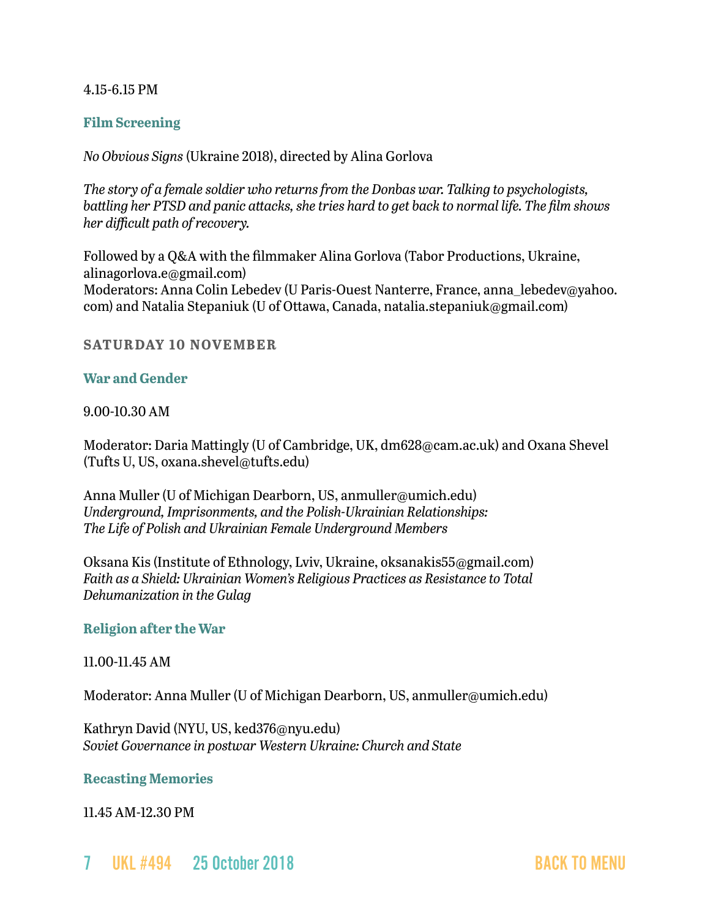#### 4.15-6.15 PM

#### **Film Screening**

*No Obvious Signs* (Ukraine 2018), directed by Alina Gorlova

*The story of a female soldier who returns from the Donbas war. Talking to psychologists, battling her PTSD and panic attacks, she tries hard to get back to normal life. The film shows her difficult path of recovery.*

Followed by a Q&A with the filmmaker Alina Gorlova (Tabor Productions, Ukraine, alinagorlova.e@gmail.com) Moderators: Anna Colin Lebedev (U Paris-Ouest Nanterre, France, anna lebedev@yahoo. com) and Natalia Stepaniuk (U of Ottawa, Canada, natalia.stepaniuk@gmail.com)

#### **SATURDAY 10 NOVEMBER**

#### **War and Gender**

9.00-10.30 AM

Moderator: Daria Mattingly (U of Cambridge, UK, dm628@cam.ac.uk) and Oxana Shevel (Tufts U, US, oxana.shevel@tufts.edu)

Anna Muller (U of Michigan Dearborn, US, anmuller@umich.edu) *Underground, Imprisonments, and the Polish-Ukrainian Relationships: The Life of Polish and Ukrainian Female Underground Members*

Oksana Kis (Institute of Ethnology, Lviv, Ukraine, oksanakis55@gmail.com) *Faith as a Shield: Ukrainian Women's Religious Practices as Resistance to Total Dehumanization in the Gulag*

#### **Religion after the War**

#### 11.00-11.45 AM

Moderator: Anna Muller (U of Michigan Dearborn, US, anmuller@umich.edu)

Kathryn David (NYU, US, ked376@nyu.edu) *Soviet Governance in postwar Western Ukraine: Church and State*

#### **Recasting Memories**

11.45 AM-12.30 PM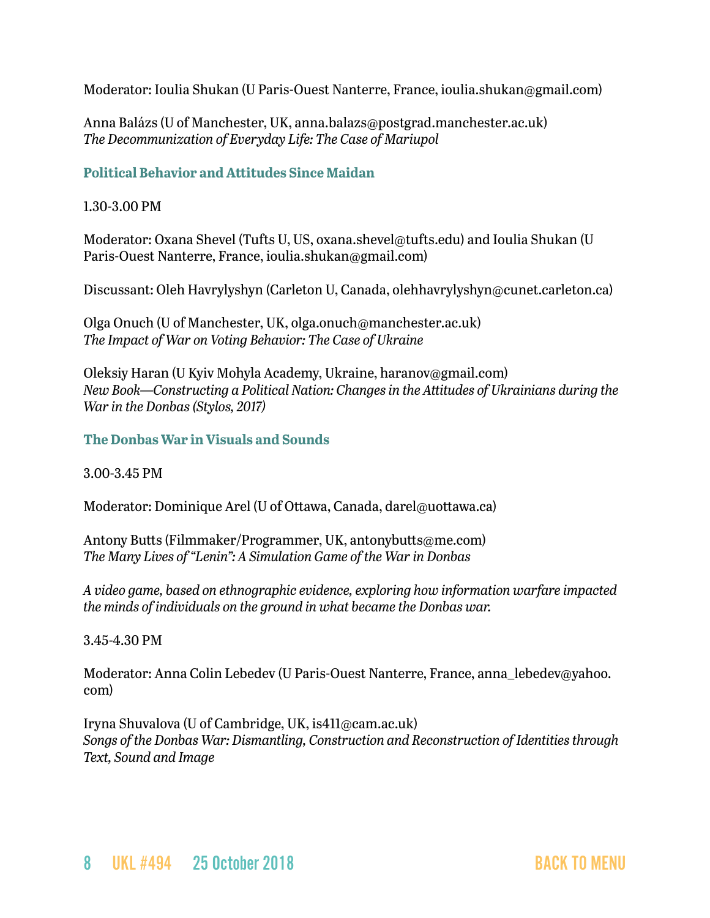Moderator: Ioulia Shukan (U Paris-Ouest Nanterre, France, ioulia.shukan@gmail.com)

Anna Balázs (U of Manchester, UK, anna.balazs@postgrad.manchester.ac.uk) *The Decommunization of Everyday Life: The Case of Mariupol*

#### **Political Behavior and Attitudes Since Maidan**

#### 1.30-3.00 PM

Moderator: Oxana Shevel (Tufts U, US, oxana.shevel@tufts.edu) and Ioulia Shukan (U Paris-Ouest Nanterre, France, ioulia.shukan@gmail.com)

Discussant: Oleh Havrylyshyn (Carleton U, Canada, olehhavrylyshyn@cunet.carleton.ca)

Olga Onuch (U of Manchester, UK, olga.onuch@manchester.ac.uk) *The Impact of War on Voting Behavior: The Case of Ukraine*

Oleksiy Haran (U Kyiv Mohyla Academy, Ukraine, haranov@gmail.com) *New Book—Constructing a Political Nation: Changes in the Attitudes of Ukrainians during the War in the Donbas (Stylos, 2017)*

#### **The Donbas War in Visuals and Sounds**

#### 3.00-3.45 PM

Moderator: Dominique Arel (U of Ottawa, Canada, darel@uottawa.ca)

Antony Butts (Filmmaker/Programmer, UK, antonybutts@me.com) *The Many Lives of "Lenin": A Simulation Game of the War in Donbas*

*A video game, based on ethnographic evidence, exploring how information warfare impacted the minds of individuals on the ground in what became the Donbas war.*

#### 3.45-4.30 PM

Moderator: Anna Colin Lebedev (U Paris-Ouest Nanterre, France, anna lebedev@yahoo. com)

Iryna Shuvalova (U of Cambridge, UK, is411@cam.ac.uk) *Songs of the Donbas War: Dismantling, Construction and Reconstruction of Identities through Text, Sound and Image*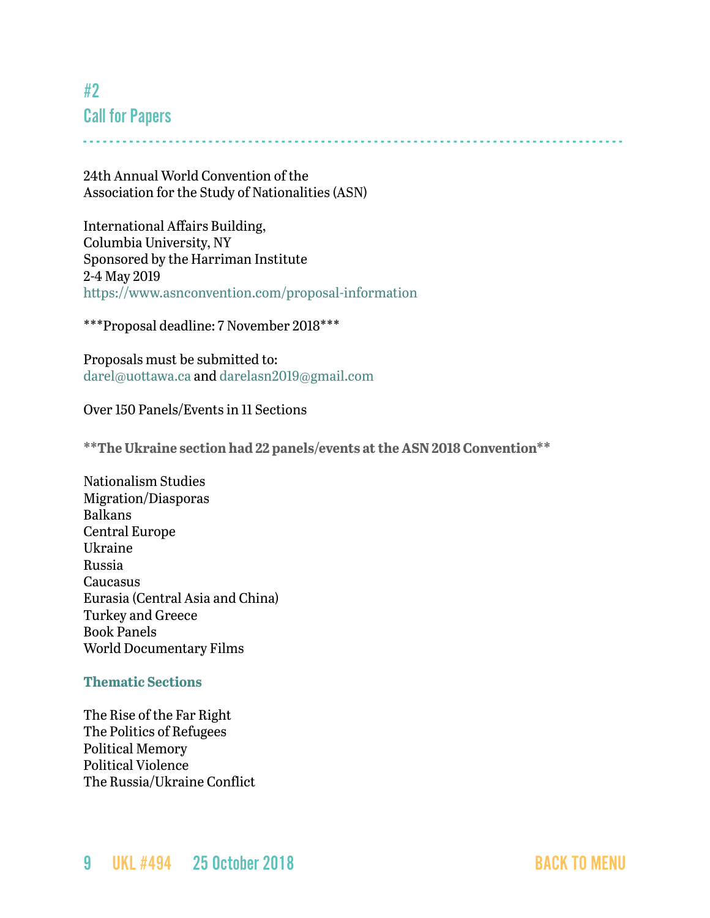# <span id="page-8-0"></span>#2 Call for Papers

- - - - - - - - - - - - - - - - - - - - - - - - - - - - - - - - - - - - - - - - - - - - - - - - - - - - - - - - - - - - - - - - - - - - - - - - - - - - - - - - - -

24th Annual World Convention of the Association for the Study of Nationalities (ASN)

International Affairs Building, Columbia University, NY Sponsored by the Harriman Institute 2-4 May 2019 <https://www.asnconvention.com/proposal-information> 

\*\*\*Proposal deadline: 7 November 2018\*\*\*

Proposals must be submitted to: [darel@uottawa.ca](mailto:darel@uottawa.ca) and [darelasn2019@gmail.com](mailto:darelasn19@gmail.com)

[Over 150 Panels/Events in 11 Sections](https://www.asnconvention.com/eleven-sections)

**\*\*The Ukraine section had 22 panels/events at the ASN 2018 Convention\*\***

Nationalism Studies Migration/Diasporas Balkans Central Europe Ukraine Russia Caucasus Eurasia (Central Asia and China) Turkey and Greece Book Panels World Documentary Films

#### **[Thematic Sections](https://www.asnconvention.com/thematic-sections)**

The Rise of the Far Right The Politics of Refugees Political Memory Political Violence The Russia/Ukraine Conflict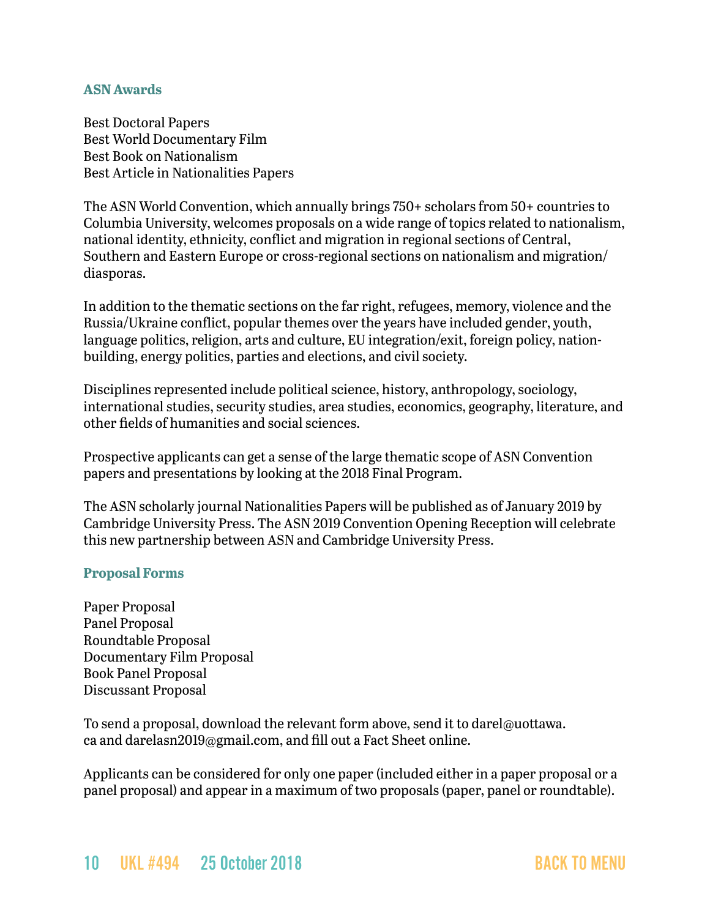#### **[ASN Awards](https://www.asnconvention.com/asn-awards)**

Best Doctoral Papers Best World Documentary Film Best Book on Nationalism Best Article in Nationalities Papers

The ASN World Convention, which annually brings 750+ scholars from 50+ countries to Columbia University, welcomes proposals on a wide range of topics related to nationalism, national identity, ethnicity, conflict and migration in regional sections of Central, Southern and Eastern Europe or cross-regional sections on nationalism and migration/ diasporas.

In addition to the thematic sections on the far right, refugees, memory, violence and the Russia/Ukraine conflict, popular themes over the years have included gender, youth, language politics, religion, arts and culture, EU integration/exit, foreign policy, nationbuilding, energy politics, parties and elections, and civil society.

Disciplines represented include political science, history, anthropology, sociology, international studies, security studies, area studies, economics, geography, literature, and other fields of humanities and social sciences.

Prospective applicants can get a sense of the large thematic scope of ASN Convention papers and presentations by looking at the [2018 Final Program.](https://docs.wixstatic.com/ugd/ff1dca_c4ef94c09ec9479da4af014e9b0db618.pdf)

The ASN scholarly journal Nationalities Papers will be published as of January 2019 by Cambridge University Press. The ASN 2019 Convention Opening Reception will celebrate this new partnership between ASN and Cambridge University Press.

#### **[Proposal Forms](https://www.asnconvention.com/proposals)**

Paper Proposal Panel Proposal Roundtable Proposal Documentary Film Proposal Book Panel Proposal Discussant Proposal

To send a proposal, download the relevant form above, send it to [darel@uottawa.](mailto:darel@uottawa.ca) [ca](mailto:darel@uottawa.ca) and [darelasn2019@gmail.com](mailto:darelasn2019@gmail.com), and fill out a [Fact Sheet o](https://www.surveymonkey.com/r/asn2019)nline.

Applicants can be considered for only one paper (included either in a paper proposal or a panel proposal) and appear in a maximum of two proposals (paper, panel or roundtable).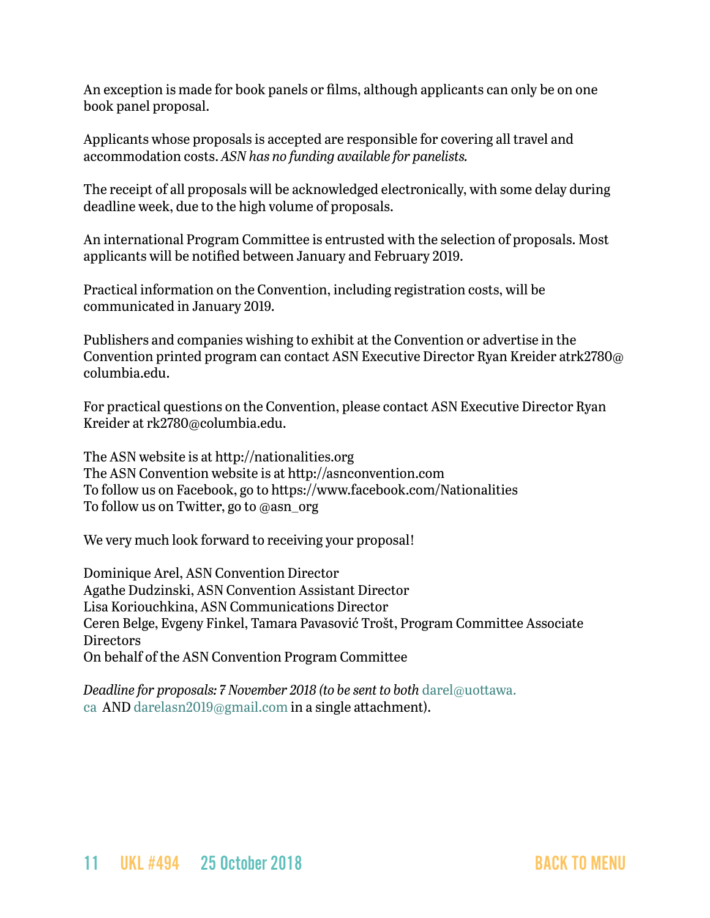An exception is made for book panels or films, although applicants can only be on one book panel proposal.

Applicants whose proposals is accepted are responsible for covering all travel and accommodation costs. *ASN has no funding available for panelists.*

The receipt of all proposals will be acknowledged electronically, with some delay during deadline week, due to the high volume of proposals.

An international Program Committee is entrusted with the selection of proposals. Most applicants will be notified between January and February 2019.

Practical information on the Convention, including registration costs, will be communicated in January 2019.

Publishers and companies wishing to exhibit at the Convention or advertise in the Convention printed program can contact ASN Executive Director Ryan Kreider a[trk2780@](mailto:rk2780@columbia.edu) [columbia.edu](mailto:rk2780@columbia.edu).

For practical questions on the Convention, please contact ASN Executive Director Ryan Kreider at [rk2780@columbia.edu.](mailto:rk2780@columbia.edu)

The ASN website is at [http://nationalities.org](http://nationalities.org/) The ASN Convention website is at [http://asnconvention.com](http://asnconvention.com/) To follow us on Facebook, go to<https://www.facebook.com/Nationalities> To follow us on Twitter, go to [@asn\\_org](https://twitter.com/ASN_Org?lang=en)

We very much look forward to receiving your proposal!

Dominique Arel, ASN Convention Director Agathe Dudzinski, ASN Convention Assistant Director Lisa Koriouchkina, ASN Communications Director Ceren Belge, Evgeny Finkel, Tamara Pavasović Trošt, Program Committee Associate **Directors** On behalf of the ASN Convention Program Committee

*Deadline for proposals: 7 November 2018 (to be sent to both [darel@uottawa.](mailto:darel@uottawa.ca)* [ca](mailto:darel@uottawa.ca)  AND [darelasn2019@gmail.com](mailto:darelasn2019@gmail.com) in a single attachment).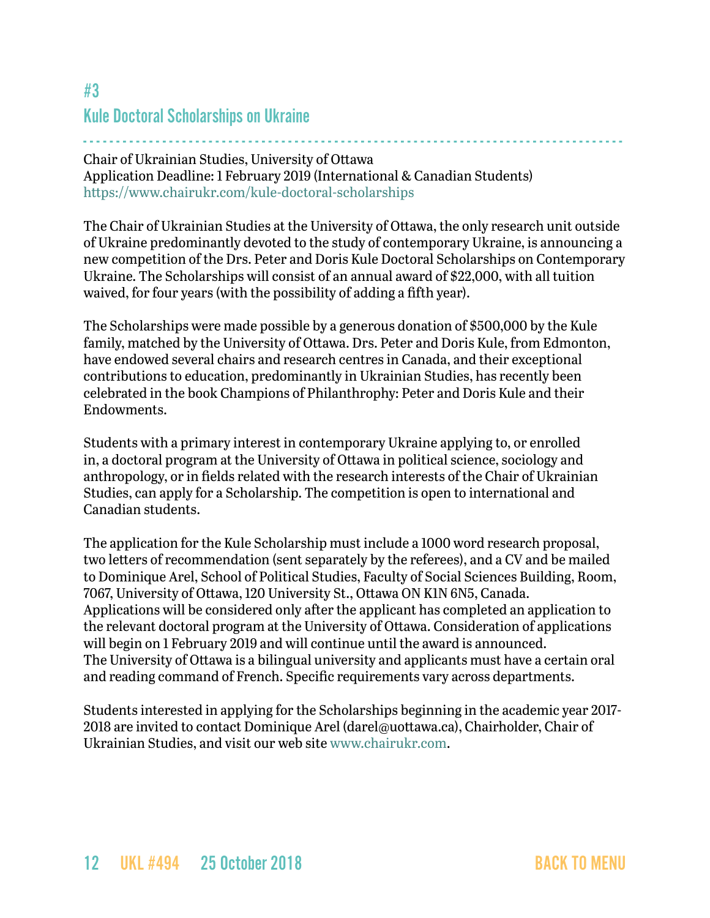# <span id="page-11-0"></span>#3 Kule Doctoral Scholarships on Ukraine

- - - - - - - - - - - - - - - - - - - - - - - - - - - - - - - - - - - - - - - - - - - - - - - - - - - - - - - - - - - - - - - - - - - - - - - - - - - - - - - - - - Chair of Ukrainian Studies, University of Ottawa Application Deadline: 1 February 2019 (International & Canadian Students) <https://www.chairukr.com/kule-doctoral-scholarships>

The Chair of Ukrainian Studies at the University of Ottawa, the only research unit outside of Ukraine predominantly devoted to the study of contemporary Ukraine, is announcing a new competition of the Drs. Peter and Doris Kule Doctoral Scholarships on Contemporary Ukraine. The Scholarships will consist of an annual award of \$22,000, with all tuition waived, for four years (with the possibility of adding a fifth year).

The Scholarships were made possible by a generous donation of \$500,000 by the Kule family, matched by the University of Ottawa. Drs. Peter and Doris Kule, from Edmonton, have endowed several chairs and research centres in Canada, and their exceptional contributions to education, predominantly in Ukrainian Studies, has recently been celebrated in the book Champions of Philanthrophy: Peter and Doris Kule and their Endowments.

Students with a primary interest in contemporary Ukraine applying to, or enrolled in, a doctoral program at the University of Ottawa in political science, sociology and anthropology, or in fields related with the research interests of the Chair of Ukrainian Studies, can apply for a Scholarship. The competition is open to international and Canadian students.

The application for the Kule Scholarship must include a 1000 word research proposal, two letters of recommendation (sent separately by the referees), and a CV and be mailed to Dominique Arel, School of Political Studies, Faculty of Social Sciences Building, Room, 7067, University of Ottawa, 120 University St., Ottawa ON K1N 6N5, Canada. Applications will be considered only after the applicant has completed an application to the relevant doctoral program at the University of Ottawa. Consideration of applications will begin on 1 February 2019 and will continue until the award is announced. The University of Ottawa is a bilingual university and applicants must have a certain oral and reading command of French. Specific requirements vary across departments.

Students interested in applying for the Scholarships beginning in the academic year 2017- 2018 are invited to contact Dominique Arel [\(darel@uottawa.ca](mailto:darel@uottawa.ca)), Chairholder, Chair of Ukrainian Studies, and visit our web site [www.chairukr.com](http://www.chairukr.com).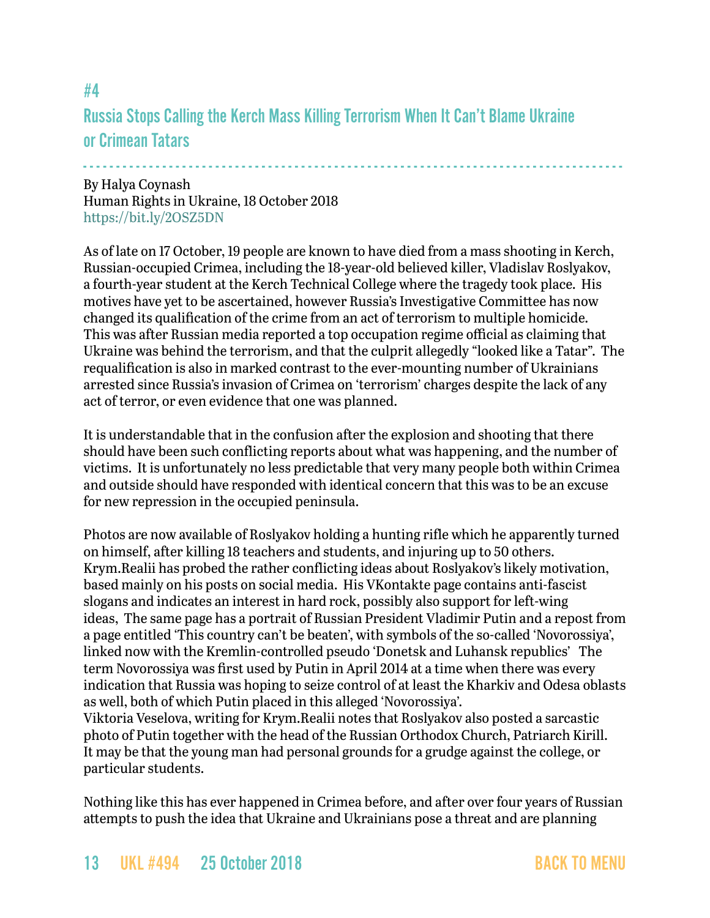# <span id="page-12-0"></span>Russia Stops Calling the Kerch Mass Killing Terrorism When It Can't Blame Ukraine or Crimean Tatars

- - - - - - - - - - - - - - - - - - - - - - - - - - - - - - - - - - - - - - - - - - - - - - - - - - - - - - - - - - - - - - - - - - - - - - - - - - - - - - - - - - By Halya Coynash Human Rights in Ukraine, 18 October 2018 <https://bit.ly/2OSZ5DN>

As of late on 17 October, 19 people are known to have died from a mass shooting in Kerch, Russian-occupied Crimea, including the 18-year-old believed killer, Vladislav Roslyakov, a fourth-year student at the Kerch Technical College where the tragedy took place. His motives have yet to be ascertained, however Russia's Investigative Committee has now changed its qualification of the crime from an act of terrorism to multiple homicide. This was after Russian media reported a top occupation regime official as claiming that Ukraine was behind the terrorism, and that the culprit allegedly "looked like a Tatar". The requalification is also in marked contrast to the ever-mounting number of Ukrainians arrested since Russia's invasion of Crimea on 'terrorism' charges despite the lack of any act of terror, or even evidence that one was planned.

It is understandable that in the confusion after the explosion and shooting that there should have been such conflicting reports about what was happening, and the number of victims. It is unfortunately no less predictable that very many people both within Crimea and outside should have responded with identical concern that this was to be an excuse for new repression in the occupied peninsula.

Photos are now available of Roslyakov holding a hunting rifle which he apparently turned on himself, after killing 18 teachers and students, and injuring up to 50 others. Krym.Realii has probed the rather conflicting ideas about Roslyakov's likely motivation, based mainly on his posts on social media. His VKontakte page contains anti-fascist slogans and indicates an interest in hard rock, possibly also support for left-wing ideas, The same page has a portrait of Russian President Vladimir Putin and a repost from a page entitled 'This country can't be beaten', with symbols of the so-called 'Novorossiya', linked now with the Kremlin-controlled pseudo 'Donetsk and Luhansk republics' The term Novorossiya was first used by Putin in April 2014 at a time when there was every indication that Russia was hoping to seize control of at least the Kharkiv and Odesa oblasts as well, both of which Putin placed in this alleged 'Novorossiya'. Viktoria Veselova, writing for Krym.Realii notes that Roslyakov also posted a sarcastic

photo of Putin together with the head of the Russian Orthodox Church, Patriarch Kirill. It may be that the young man had personal grounds for a grudge against the college, or particular students.

Nothing like this has ever happened in Crimea before, and after over four years of Russian attempts to push the idea that Ukraine and Ukrainians pose a threat and are planning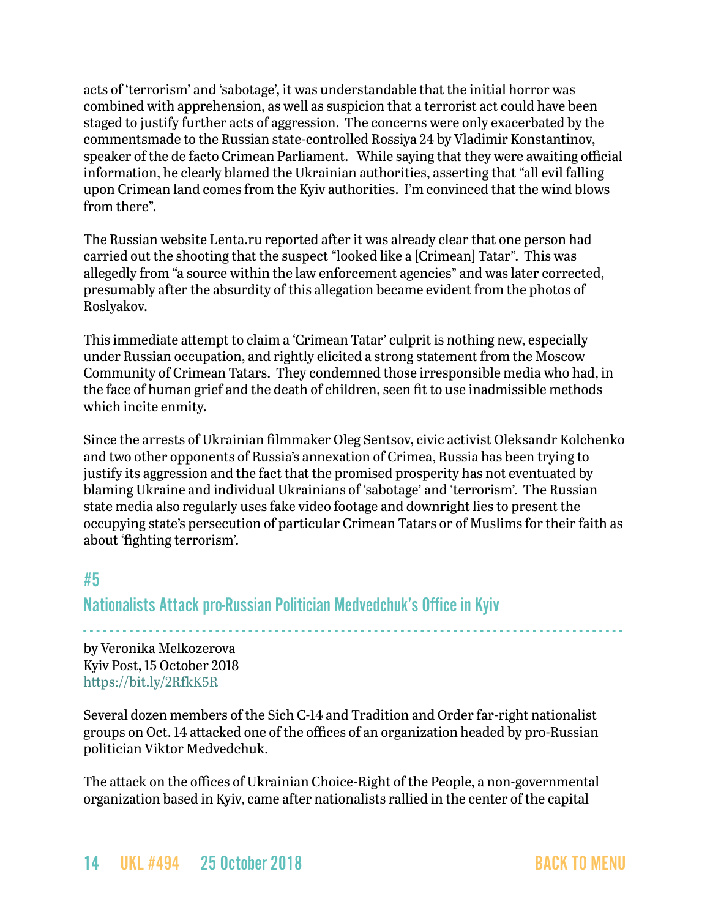acts of 'terrorism' and 'sabotage', it was understandable that the initial horror was combined with apprehension, as well as suspicion that a terrorist act could have been staged to justify further acts of aggression. The concerns were only exacerbated by the commentsmade to the Russian state-controlled Rossiya 24 by Vladimir Konstantinov, speaker of the de facto Crimean Parliament. While saying that they were awaiting official information, he clearly blamed the Ukrainian authorities, asserting that "all evil falling upon Crimean land comes from the Kyiv authorities. I'm convinced that the wind blows from there".

The Russian website Lenta.ru reported after it was already clear that one person had carried out the shooting that the suspect "looked like a [Crimean] Tatar". This was allegedly from "a source within the law enforcement agencies" and was later corrected, presumably after the absurdity of this allegation became evident from the photos of Roslyakov.

This immediate attempt to claim a 'Crimean Tatar' culprit is nothing new, especially under Russian occupation, and rightly elicited a strong statement from the Moscow Community of Crimean Tatars. They condemned those irresponsible media who had, in the face of human grief and the death of children, seen fit to use inadmissible methods which incite enmity.

Since the arrests of Ukrainian filmmaker Oleg Sentsov, civic activist Oleksandr Kolchenko and two other opponents of Russia's annexation of Crimea, Russia has been trying to justify its aggression and the fact that the promised prosperity has not eventuated by blaming Ukraine and individual Ukrainians of 'sabotage' and 'terrorism'. The Russian state media also regularly uses fake video footage and downright lies to present the occupying state's persecution of particular Crimean Tatars or of Muslims for their faith as about 'fighting terrorism'.

### <span id="page-13-0"></span>#5

### Nationalists Attack pro-Russian Politician Medvedchuk's Office in Kyiv

- - - - - - - - - - - - - - - - - - - - - - - - - - - - - - - - - - - - - - - - - - - - - - - - - - - - - - - - - - - - - - - - - - - - - - - - - - - - - - - - - by Veronika Melkozerova Kyiv Post, 15 October 2018 <https://bit.ly/2RfkK5R>

Several dozen members of the Sich C-14 and Tradition and Order far-right nationalist groups on Oct. 14 attacked one of the offices of an organization headed by pro-Russian politician Viktor Medvedchuk.

The attack on the offices of Ukrainian Choice-Right of the People, a non-governmental organization based in Kyiv, came after nationalists rallied in the center of the capital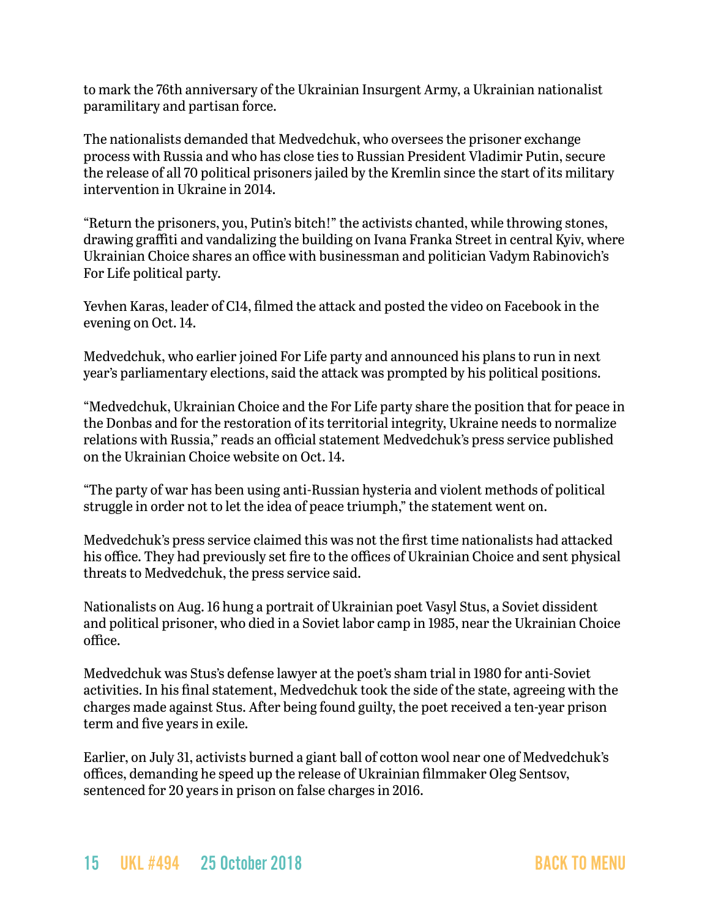to mark the 76th anniversary of the Ukrainian Insurgent Army, a Ukrainian nationalist paramilitary and partisan force.

The nationalists demanded that Medvedchuk, who oversees the prisoner exchange process with Russia and who has close ties to Russian President Vladimir Putin, secure the release of all 70 political prisoners jailed by the Kremlin since the start of its military intervention in Ukraine in 2014.

"Return the prisoners, you, Putin's bitch!" the activists chanted, while throwing stones, drawing graffiti and vandalizing the building on Ivana Franka Street in central Kyiv, where Ukrainian Choice shares an office with businessman and politician Vadym Rabinovich's For Life political party.

Yevhen Karas, leader of C14, filmed the attack and posted the video on Facebook in the evening on Oct. 14.

Medvedchuk, who earlier joined For Life party and announced his plans to run in next year's parliamentary elections, said the attack was prompted by his political positions.

"Medvedchuk, Ukrainian Choice and the For Life party share the position that for peace in the Donbas and for the restoration of its territorial integrity, Ukraine needs to normalize relations with Russia," reads an official statement Medvedchuk's press service published on the Ukrainian Choice website on Oct. 14.

"The party of war has been using anti-Russian hysteria and violent methods of political struggle in order not to let the idea of peace triumph," the statement went on.

Medvedchuk's press service claimed this was not the first time nationalists had attacked his office. They had previously set fire to the offices of Ukrainian Choice and sent physical threats to Medvedchuk, the press service said.

Nationalists on Aug. 16 hung a portrait of Ukrainian poet Vasyl Stus, a Soviet dissident and political prisoner, who died in a Soviet labor camp in 1985, near the Ukrainian Choice office.

Medvedchuk was Stus's defense lawyer at the poet's sham trial in 1980 for anti-Soviet activities. In his final statement, Medvedchuk took the side of the state, agreeing with the charges made against Stus. After being found guilty, the poet received a ten-year prison term and five years in exile.

Earlier, on July 31, activists burned a giant ball of cotton wool near one of Medvedchuk's offices, demanding he speed up the release of Ukrainian filmmaker Oleg Sentsov, sentenced for 20 years in prison on false charges in 2016.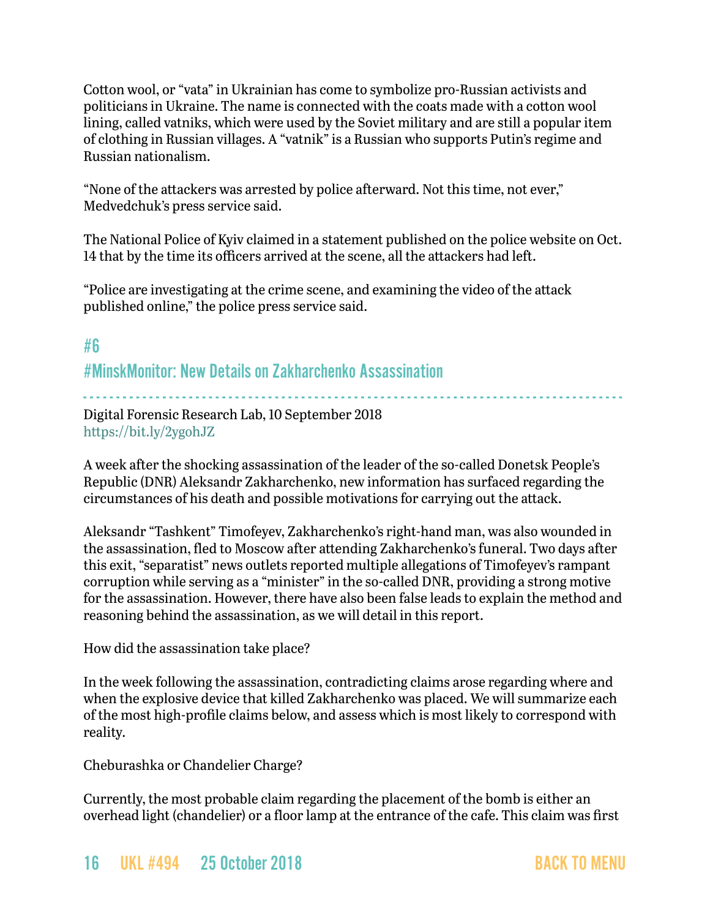Cotton wool, or "vata" in Ukrainian has come to symbolize pro-Russian activists and politicians in Ukraine. The name is connected with the coats made with a cotton wool lining, called vatniks, which were used by the Soviet military and are still a popular item of clothing in Russian villages. A "vatnik" is a Russian who supports Putin's regime and Russian nationalism.

"None of the attackers was arrested by police afterward. Not this time, not ever," Medvedchuk's press service said.

The National Police of Kyiv claimed in a statement published on the police website on Oct. 14 that by the time its officers arrived at the scene, all the attackers had left.

"Police are investigating at the crime scene, and examining the video of the attack published online," the police press service said.

# <span id="page-15-0"></span>#6 #MinskMonitor: New Details on Zakharchenko Assassination

- - - - - - - - - - - - - - - - - - - - - - - - - - - - - - - - - - - - - - - - - - - - - - - - - - - - - - - - - - - - - - - - - - - - - - - - - - - - - - - - - - Digital Forensic Research Lab, 10 September 2018 <https://bit.ly/2ygohJZ>

A week after the shocking assassination of the leader of the so-called Donetsk People's Republic (DNR) Aleksandr Zakharchenko, new information has surfaced regarding the circumstances of his death and possible motivations for carrying out the attack.

Aleksandr "Tashkent" Timofeyev, Zakharchenko's right-hand man, was also wounded in the assassination, fled to Moscow after attending Zakharchenko's funeral. Two days after this exit, "separatist" news outlets reported multiple allegations of Timofeyev's rampant corruption while serving as a "minister" in the so-called DNR, providing a strong motive for the assassination. However, there have also been false leads to explain the method and reasoning behind the assassination, as we will detail in this report.

How did the assassination take place?

In the week following the assassination, contradicting claims arose regarding where and when the explosive device that killed Zakharchenko was placed. We will summarize each of the most high-profile claims below, and assess which is most likely to correspond with reality.

Cheburashka or Chandelier Charge?

Currently, the most probable claim regarding the placement of the bomb is either an overhead light (chandelier) or a floor lamp at the entrance of the cafe. This claim was first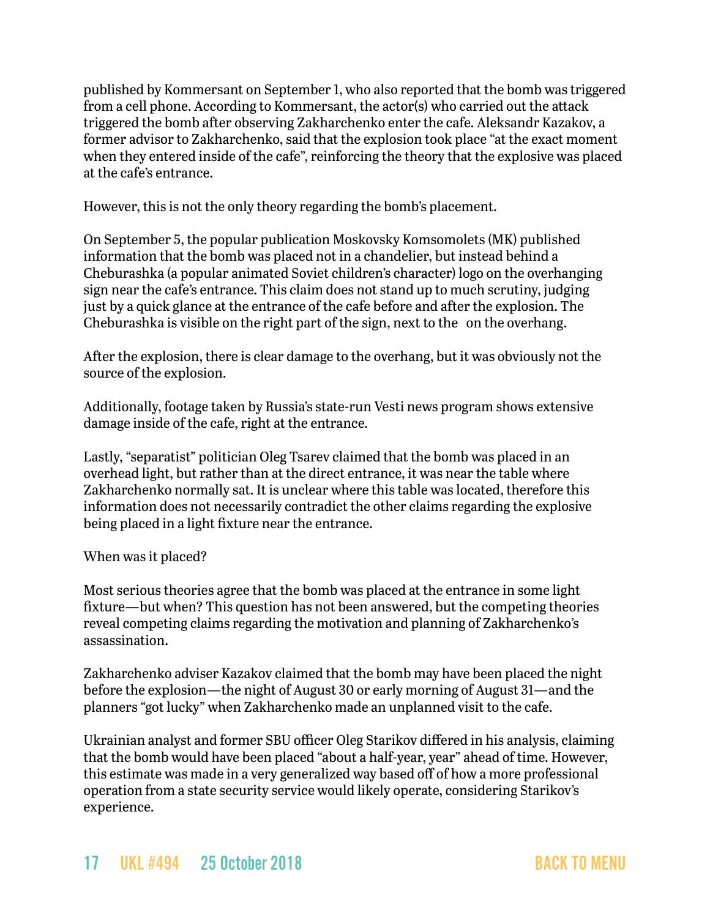published by Kommersant on September 1, who also reported that the bomb was triggered from a cell phone. According to Kommersant, the actor(s) who carried out the attack triggered the bomb after observing Zakharchenko enter the cafe. Aleksandr Kazakov, a former advisor to Zakharchenko, said that the explosion took place "at the exact moment when they entered inside of the cafe", reinforcing the theory that the explosive was placed at the cafe's entrance.

However, this is not the only theory regarding the bomb's placement.

On September 5, the popular publication Moskovsky Komsomolets (MK) published information that the bomb was placed not in a chandelier, but instead behind a Cheburashka (a popular animated Soviet children's character) logo on the overhanging sign near the cafe's entrance. This claim does not stand up to much scrutiny, judging just by a quick glance at the entrance of the cafe before and after the explosion. The Cheburashka is visible on the right part of the sign, next to the on the overhang.

After the explosion, there is clear damage to the overhang, but it was obviously not the source of the explosion.

Additionally, footage taken by Russia's state-run Vesti news program shows extensive damage inside of the cafe, right at the entrance.

Lastly, "separatist" politician Oleg Tsarev claimed that the bomb was placed in an overhead light, but rather than at the direct entrance, it was near the table where Zakharchenko normally sat. It is unclear where this table was located, therefore this information does not necessarily contradict the other claims regarding the explosive being placed in a light fixture near the entrance.

When was it placed?

Most serious theories agree that the bomb was placed at the entrance in some light fixture—but when? This question has not been answered, but the competing theories reveal competing claims regarding the motivation and planning of Zakharchenko's assassination.

Zakharchenko adviser Kazakov claimed that the bomb may have been placed the night before the explosion—the night of August 30 or early morning of August 31—and the planners "got lucky" when Zakharchenko made an unplanned visit to the cafe.

Ukrainian analyst and former SBU officer Oleg Starikov differed in his analysis, claiming that the bomb would have been placed "about a half-year, year" ahead of time. However, this estimate was made in a very generalized way based off of how a more professional operation from a state security service would likely operate, considering Starikov's experience.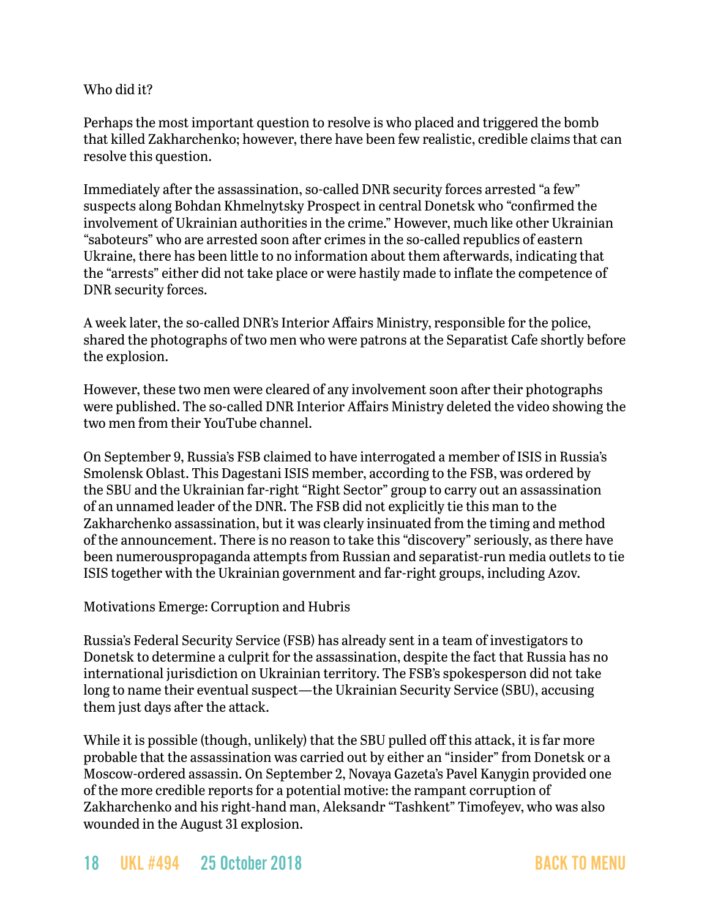#### Who did it?

Perhaps the most important question to resolve is who placed and triggered the bomb that killed Zakharchenko; however, there have been few realistic, credible claims that can resolve this question.

Immediately after the assassination, so-called DNR security forces arrested "a few" suspects along Bohdan Khmelnytsky Prospect in central Donetsk who "confirmed the involvement of Ukrainian authorities in the crime." However, much like other Ukrainian "saboteurs" who are arrested soon after crimes in the so-called republics of eastern Ukraine, there has been little to no information about them afterwards, indicating that the "arrests" either did not take place or were hastily made to inflate the competence of DNR security forces.

A week later, the so-called DNR's Interior Affairs Ministry, responsible for the police, shared the photographs of two men who were patrons at the Separatist Cafe shortly before the explosion.

However, these two men were cleared of any involvement soon after their photographs were published. The so-called DNR Interior Affairs Ministry deleted the video showing the two men from their YouTube channel.

On September 9, Russia's FSB claimed to have interrogated a member of ISIS in Russia's Smolensk Oblast. This Dagestani ISIS member, according to the FSB, was ordered by the SBU and the Ukrainian far-right "Right Sector" group to carry out an assassination of an unnamed leader of the DNR. The FSB did not explicitly tie this man to the Zakharchenko assassination, but it was clearly insinuated from the timing and method of the announcement. There is no reason to take this "discovery" seriously, as there have been numerouspropaganda attempts from Russian and separatist-run media outlets to tie ISIS together with the Ukrainian government and far-right groups, including Azov.

Motivations Emerge: Corruption and Hubris

Russia's Federal Security Service (FSB) has already sent in a team of investigators to Donetsk to determine a culprit for the assassination, despite the fact that Russia has no international jurisdiction on Ukrainian territory. The FSB's spokesperson did not take long to name their eventual suspect—the Ukrainian Security Service (SBU), accusing them just days after the attack.

While it is possible (though, unlikely) that the SBU pulled off this attack, it is far more probable that the assassination was carried out by either an "insider" from Donetsk or a Moscow-ordered assassin. On September 2, Novaya Gazeta's Pavel Kanygin provided one of the more credible reports for a potential motive: the rampant corruption of Zakharchenko and his right-hand man, Aleksandr "Tashkent" Timofeyev, who was also wounded in the August 31 explosion.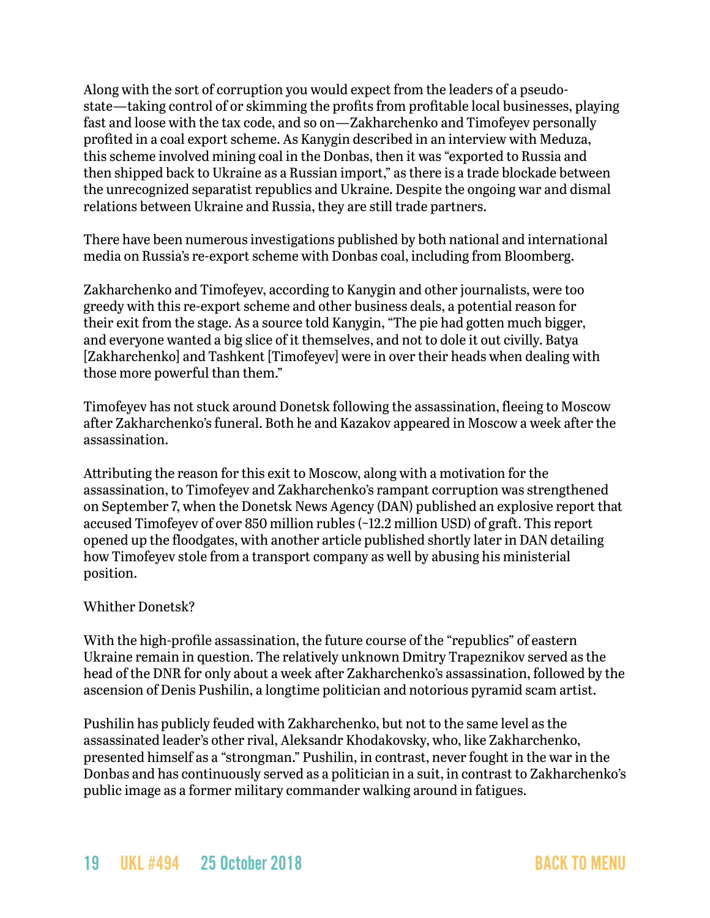Along with the sort of corruption you would expect from the leaders of a pseudostate—taking control of or skimming the profits from profitable local businesses, playing fast and loose with the tax code, and so on—Zakharchenko and Timofeyev personally profited in a coal export scheme. As Kanygin described in an interview with Meduza, this scheme involved mining coal in the Donbas, then it was "exported to Russia and then shipped back to Ukraine as a Russian import," as there is a trade blockade between the unrecognized separatist republics and Ukraine. Despite the ongoing war and dismal relations between Ukraine and Russia, they are still trade partners.

There have been numerous investigations published by both national and international media on Russia's re-export scheme with Donbas coal, including from Bloomberg.

Zakharchenko and Timofeyev, according to Kanygin and other journalists, were too greedy with this re-export scheme and other business deals, a potential reason for their exit from the stage. As a source told Kanygin, "The pie had gotten much bigger, and everyone wanted a big slice of it themselves, and not to dole it out civilly. Batya [Zakharchenko] and Tashkent [Timofeyev] were in over their heads when dealing with those more powerful than them."

Timofeyev has not stuck around Donetsk following the assassination, fleeing to Moscow after Zakharchenko's funeral. Both he and Kazakov appeared in Moscow a week after the assassination.

Attributing the reason for this exit to Moscow, along with a motivation for the assassination, to Timofeyev and Zakharchenko's rampant corruption was strengthened on September 7, when the Donetsk News Agency (DAN) published an explosive report that accused Timofeyev of over 850 million rubles (~12.2 million USD) of graft. This report opened up the floodgates, with another article published shortly later in DAN detailing how Timofeyev stole from a transport company as well by abusing his ministerial position.

### Whither Donetsk?

With the high-profile assassination, the future course of the "republics" of eastern Ukraine remain in question. The relatively unknown Dmitry Trapeznikov served as the head of the DNR for only about a week after Zakharchenko's assassination, followed by the ascension of Denis Pushilin, a longtime politician and notorious pyramid scam artist.

Pushilin has publicly feuded with Zakharchenko, but not to the same level as the assassinated leader's other rival, Aleksandr Khodakovsky, who, like Zakharchenko, presented himself as a "strongman." Pushilin, in contrast, never fought in the war in the Donbas and has continuously served as a politician in a suit, in contrast to Zakharchenko's public image as a former military commander walking around in fatigues.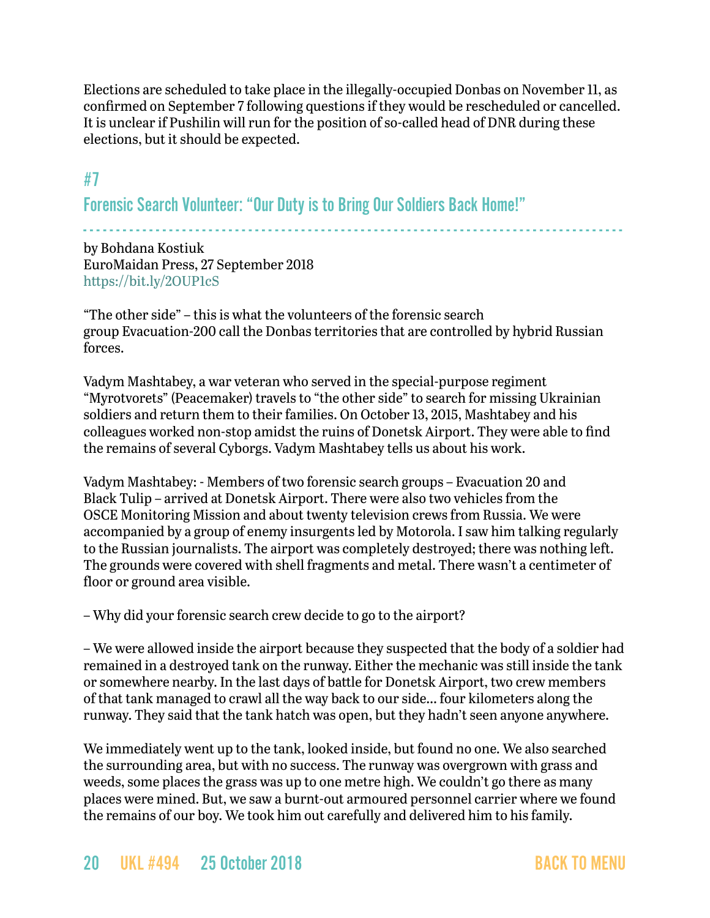Elections are scheduled to take place in the illegally-occupied Donbas on November 11, as confirmed on September 7 following questions if they would be rescheduled or cancelled. It is unclear if Pushilin will run for the position of so-called head of DNR during these elections, but it should be expected.

## <span id="page-19-0"></span>#7

Forensic Search Volunteer: "Our Duty is to Bring Our Soldiers Back Home!"

- - - - - - - - - - - - - - - - - - - - - - - - - - - - - - - - - - - - - - - - - - - - - - - - - - - - - - - - - - - - - - - - - - - - - - - - - - - - - - - - - by Bohdana Kostiuk EuroMaidan Press, 27 September 2018 <https://bit.ly/2OUP1cS>

"The other side" – this is what the volunteers of the forensic search group Evacuation-200 call the Donbas territories that are controlled by hybrid Russian forces.

Vadym Mashtabey, a war veteran who served in the special-purpose regiment "Myrotvorets" (Peacemaker) travels to "the other side" to search for missing Ukrainian soldiers and return them to their families. On October 13, 2015, Mashtabey and his colleagues worked non-stop amidst the ruins of Donetsk Airport. They were able to find the remains of several Cyborgs. Vadym Mashtabey tells us about his work.

Vadym Mashtabey: - Members of two forensic search groups – Evacuation 20 and Black Tulip – arrived at Donetsk Airport. There were also two vehicles from the OSCE Monitoring Mission and about twenty television crews from Russia. We were accompanied by a group of enemy insurgents led by Motorola. I saw him talking regularly to the Russian journalists. The airport was completely destroyed; there was nothing left. The grounds were covered with shell fragments and metal. There wasn't a centimeter of floor or ground area visible.

– Why did your forensic search crew decide to go to the airport?

– We were allowed inside the airport because they suspected that the body of a soldier had remained in a destroyed tank on the runway. Either the mechanic was still inside the tank or somewhere nearby. In the last days of battle for Donetsk Airport, two crew members of that tank managed to crawl all the way back to our side… four kilometers along the runway. They said that the tank hatch was open, but they hadn't seen anyone anywhere.

We immediately went up to the tank, looked inside, but found no one. We also searched the surrounding area, but with no success. The runway was overgrown with grass and weeds, some places the grass was up to one metre high. We couldn't go there as many places were mined. But, we saw a burnt-out armoured personnel carrier where we found the remains of our boy. We took him out carefully and delivered him to his family.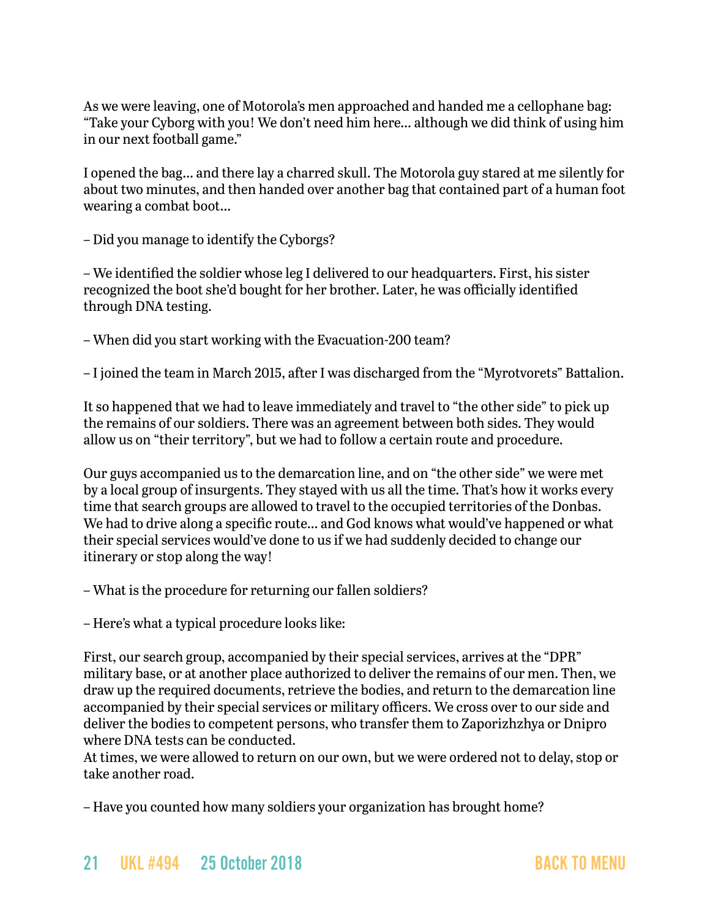As we were leaving, one of Motorola's men approached and handed me a cellophane bag: "Take your Cyborg with you! We don't need him here… although we did think of using him in our next football game."

I opened the bag… and there lay a charred skull. The Motorola guy stared at me silently for about two minutes, and then handed over another bag that contained part of a human foot wearing a combat boot…

– Did you manage to identify the Cyborgs?

– We identified the soldier whose leg I delivered to our headquarters. First, his sister recognized the boot she'd bought for her brother. Later, he was officially identified through DNA testing.

– When did you start working with the Evacuation-200 team?

– I joined the team in March 2015, after I was discharged from the "Myrotvorets" Battalion.

It so happened that we had to leave immediately and travel to "the other side" to pick up the remains of our soldiers. There was an agreement between both sides. They would allow us on "their territory", but we had to follow a certain route and procedure.

Our guys accompanied us to the demarcation line, and on "the other side" we were met by a local group of insurgents. They stayed with us all the time. That's how it works every time that search groups are allowed to travel to the occupied territories of the Donbas. We had to drive along a specific route… and God knows what would've happened or what their special services would've done to us if we had suddenly decided to change our itinerary or stop along the way!

– What is the procedure for returning our fallen soldiers?

– Here's what a typical procedure looks like:

First, our search group, accompanied by their special services, arrives at the "DPR" military base, or at another place authorized to deliver the remains of our men. Then, we draw up the required documents, retrieve the bodies, and return to the demarcation line accompanied by their special services or military officers. We cross over to our side and deliver the bodies to competent persons, who transfer them to Zaporizhzhya or Dnipro where DNA tests can be conducted.

At times, we were allowed to return on our own, but we were ordered not to delay, stop or take another road.

– Have you counted how many soldiers your organization has brought home?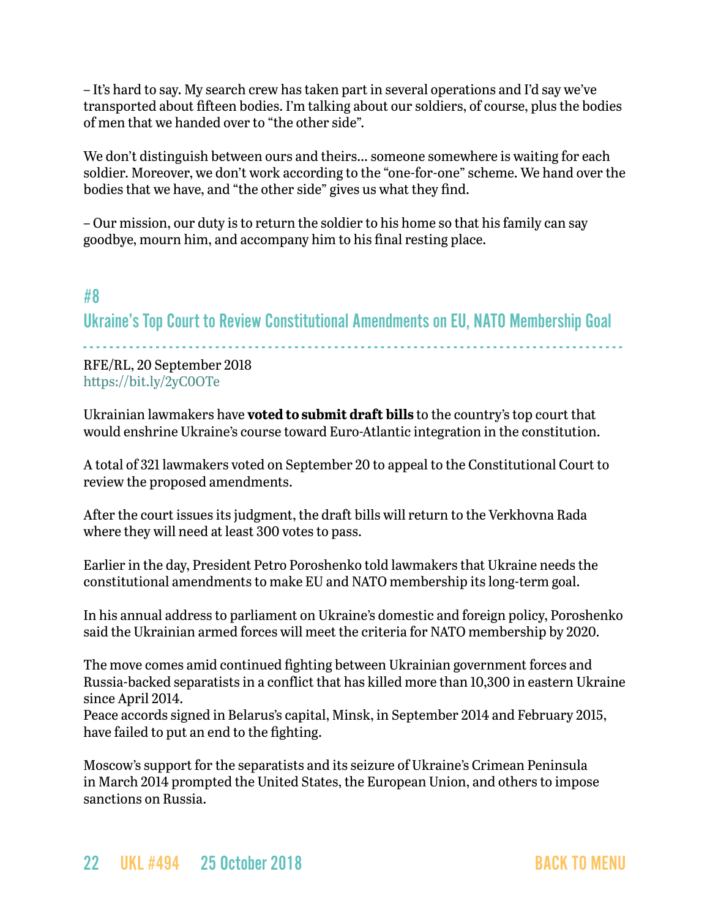– It's hard to say. My search crew has taken part in several operations and I'd say we've transported about fifteen bodies. I'm talking about our soldiers, of course, plus the bodies of men that we handed over to "the other side".

We don't distinguish between ours and theirs… someone somewhere is waiting for each soldier. Moreover, we don't work according to the "one-for-one" scheme. We hand over the bodies that we have, and "the other side" gives us what they find.

– Our mission, our duty is to return the soldier to his home so that his family can say goodbye, mourn him, and accompany him to his final resting place.

### #8

Ukraine's Top Court to Review Constitutional Amendments on EU, NATO Membership Goal

- - - - - - - - - - - - - - - - - - - - - - - - - - - - - - - - - - - - - - - - - - - - - - - - - - - - - - - - - - - - - - - - - - - - - - - - - - - - - - - - - - RFE/RL, 20 September 2018 <https://bit.ly/2yC0OTe>

Ukrainian lawmakers have **voted to submit draft bills** to the country's top court that would enshrine Ukraine's course toward Euro-Atlantic integration in the constitution.

A total of 321 lawmakers voted on September 20 to appeal to the Constitutional Court to review the proposed amendments.

After the court issues its judgment, the draft bills will return to the Verkhovna Rada where they will need at least 300 votes to pass.

Earlier in the day, President Petro Poroshenko told lawmakers that Ukraine needs the constitutional amendments to make EU and NATO membership its long-term goal.

In his annual address to parliament on Ukraine's domestic and foreign policy, Poroshenko said the Ukrainian armed forces will meet the criteria for NATO membership by 2020.

The move comes amid continued fighting between Ukrainian government forces and Russia-backed separatists in a conflict that has killed more than 10,300 in eastern Ukraine since April 2014.

Peace accords signed in Belarus's capital, Minsk, in September 2014 and February 2015, have failed to put an end to the fighting.

Moscow's support for the separatists and its seizure of Ukraine's Crimean Peninsula in March 2014 prompted the United States, the European Union, and others to impose sanctions on Russia.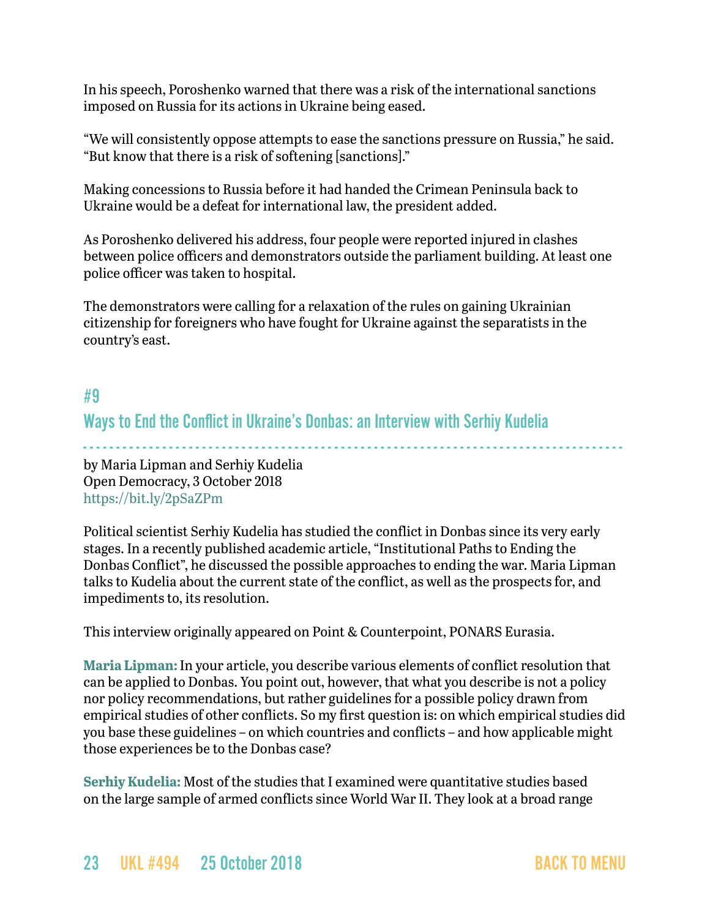In his speech, Poroshenko warned that there was a risk of the international sanctions imposed on Russia for its actions in Ukraine being eased.

"We will consistently oppose attempts to ease the sanctions pressure on Russia," he said. "But know that there is a risk of softening [sanctions]."

Making concessions to Russia before it had handed the Crimean Peninsula back to Ukraine would be a defeat for international law, the president added.

As Poroshenko delivered his address, four people were reported injured in clashes between police officers and demonstrators outside the parliament building. At least one police officer was taken to hospital.

The demonstrators were calling for a relaxation of the rules on gaining Ukrainian citizenship for foreigners who have fought for Ukraine against the separatists in the country's east.

### <span id="page-22-0"></span>#9

# Ways to End the Conflict in Ukraine's Donbas: an Interview with Serhiy Kudelia

- - - - - - - - - - - - - - - - - - - - - - - - - - - - - - - - - - - - - - - - - - - - - - - - - - - - - - - - - - - - - - - - - - - - - - - - - - - - - - - - - by Maria Lipman and Serhiy Kudelia Open Democracy, 3 October 2018 <https://bit.ly/2pSaZPm>

Political scientist Serhiy Kudelia has studied the conflict in Donbas since its very early stages. In a recently published academic article, "Institutional Paths to Ending the Donbas Conflict", he discussed the possible approaches to ending the war. Maria Lipman talks to Kudelia about the current state of the conflict, as well as the prospects for, and impediments to, its resolution.

This interview originally appeared on Point & Counterpoint, PONARS Eurasia.

**Maria Lipman:** In your article, you describe various elements of conflict resolution that can be applied to Donbas. You point out, however, that what you describe is not a policy nor policy recommendations, but rather guidelines for a possible policy drawn from empirical studies of other conflicts. So my first question is: on which empirical studies did you base these guidelines – on which countries and conflicts – and how applicable might those experiences be to the Donbas case?

**Serhiy Kudelia:** Most of the studies that I examined were quantitative studies based on the large sample of armed conflicts since World War II. They look at a broad range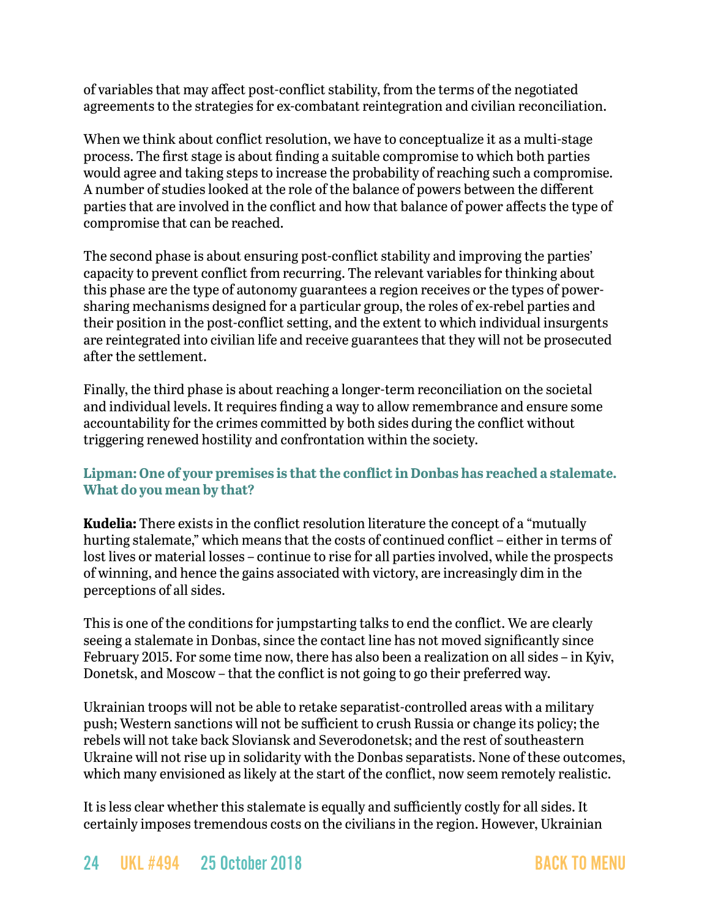of variables that may affect post-conflict stability, from the terms of the negotiated agreements to the strategies for ex-combatant reintegration and civilian reconciliation.

When we think about conflict resolution, we have to conceptualize it as a multi-stage process. The first stage is about finding a suitable compromise to which both parties would agree and taking steps to increase the probability of reaching such a compromise. A number of studies looked at the role of the balance of powers between the different parties that are involved in the conflict and how that balance of power affects the type of compromise that can be reached.

The second phase is about ensuring post-conflict stability and improving the parties' capacity to prevent conflict from recurring. The relevant variables for thinking about this phase are the type of autonomy guarantees a region receives or the types of powersharing mechanisms designed for a particular group, the roles of ex-rebel parties and their position in the post-conflict setting, and the extent to which individual insurgents are reintegrated into civilian life and receive guarantees that they will not be prosecuted after the settlement.

Finally, the third phase is about reaching a longer-term reconciliation on the societal and individual levels. It requires finding a way to allow remembrance and ensure some accountability for the crimes committed by both sides during the conflict without triggering renewed hostility and confrontation within the society.

### **Lipman: One of your premises is that the conflict in Donbas has reached a stalemate. What do you mean by that?**

**Kudelia:** There exists in the conflict resolution literature the concept of a "mutually hurting stalemate," which means that the costs of continued conflict – either in terms of lost lives or material losses – continue to rise for all parties involved, while the prospects of winning, and hence the gains associated with victory, are increasingly dim in the perceptions of all sides.

This is one of the conditions for jumpstarting talks to end the conflict. We are clearly seeing a stalemate in Donbas, since the contact line has not moved significantly since February 2015. For some time now, there has also been a realization on all sides – in Kyiv, Donetsk, and Moscow – that the conflict is not going to go their preferred way.

Ukrainian troops will not be able to retake separatist-controlled areas with a military push; Western sanctions will not be sufficient to crush Russia or change its policy; the rebels will not take back Sloviansk and Severodonetsk; and the rest of southeastern Ukraine will not rise up in solidarity with the Donbas separatists. None of these outcomes, which many envisioned as likely at the start of the conflict, now seem remotely realistic.

It is less clear whether this stalemate is equally and sufficiently costly for all sides. It certainly imposes tremendous costs on the civilians in the region. However, Ukrainian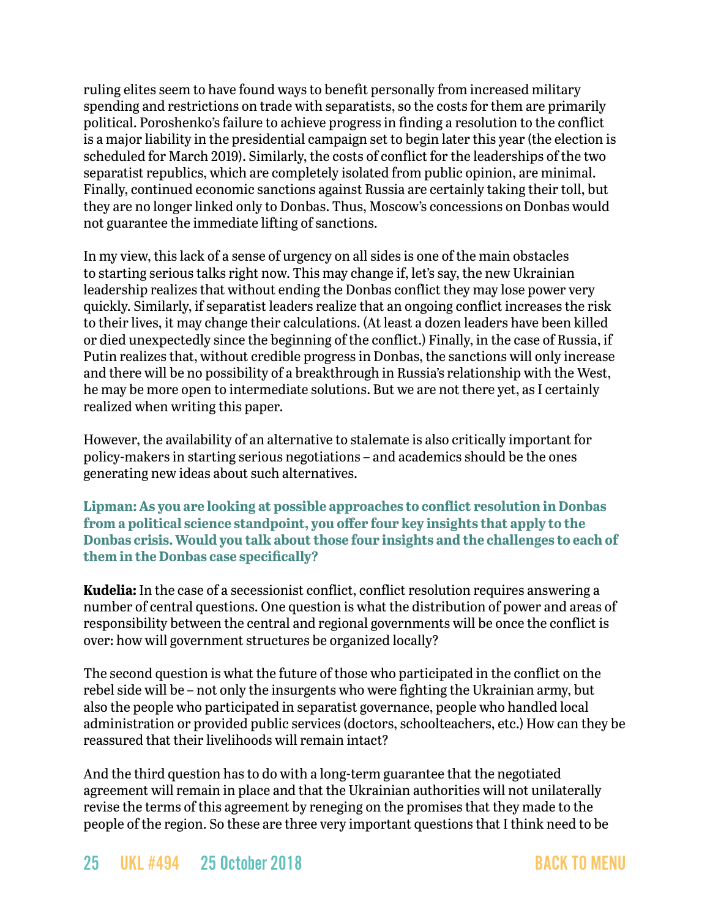ruling elites seem to have found ways to benefit personally from increased military spending and restrictions on trade with separatists, so the costs for them are primarily political. Poroshenko's failure to achieve progress in finding a resolution to the conflict is a major liability in the presidential campaign set to begin later this year (the election is scheduled for March 2019). Similarly, the costs of conflict for the leaderships of the two separatist republics, which are completely isolated from public opinion, are minimal. Finally, continued economic sanctions against Russia are certainly taking their toll, but they are no longer linked only to Donbas. Thus, Moscow's concessions on Donbas would not guarantee the immediate lifting of sanctions.

In my view, this lack of a sense of urgency on all sides is one of the main obstacles to starting serious talks right now. This may change if, let's say, the new Ukrainian leadership realizes that without ending the Donbas conflict they may lose power very quickly. Similarly, if separatist leaders realize that an ongoing conflict increases the risk to their lives, it may change their calculations. (At least a dozen leaders have been killed or died unexpectedly since the beginning of the conflict.) Finally, in the case of Russia, if Putin realizes that, without credible progress in Donbas, the sanctions will only increase and there will be no possibility of a breakthrough in Russia's relationship with the West, he may be more open to intermediate solutions. But we are not there yet, as I certainly realized when writing this paper.

However, the availability of an alternative to stalemate is also critically important for policy-makers in starting serious negotiations – and academics should be the ones generating new ideas about such alternatives.

**Lipman: As you are looking at possible approaches to conflict resolution in Donbas from a political science standpoint, you offer four key insights that apply to the Donbas crisis. Would you talk about those four insights and the challenges to each of them in the Donbas case specifically?**

**Kudelia:** In the case of a secessionist conflict, conflict resolution requires answering a number of central questions. One question is what the distribution of power and areas of responsibility between the central and regional governments will be once the conflict is over: how will government structures be organized locally?

The second question is what the future of those who participated in the conflict on the rebel side will be – not only the insurgents who were fighting the Ukrainian army, but also the people who participated in separatist governance, people who handled local administration or provided public services (doctors, schoolteachers, etc.) How can they be reassured that their livelihoods will remain intact?

And the third question has to do with a long-term guarantee that the negotiated agreement will remain in place and that the Ukrainian authorities will not unilaterally revise the terms of this agreement by reneging on the promises that they made to the people of the region. So these are three very important questions that I think need to be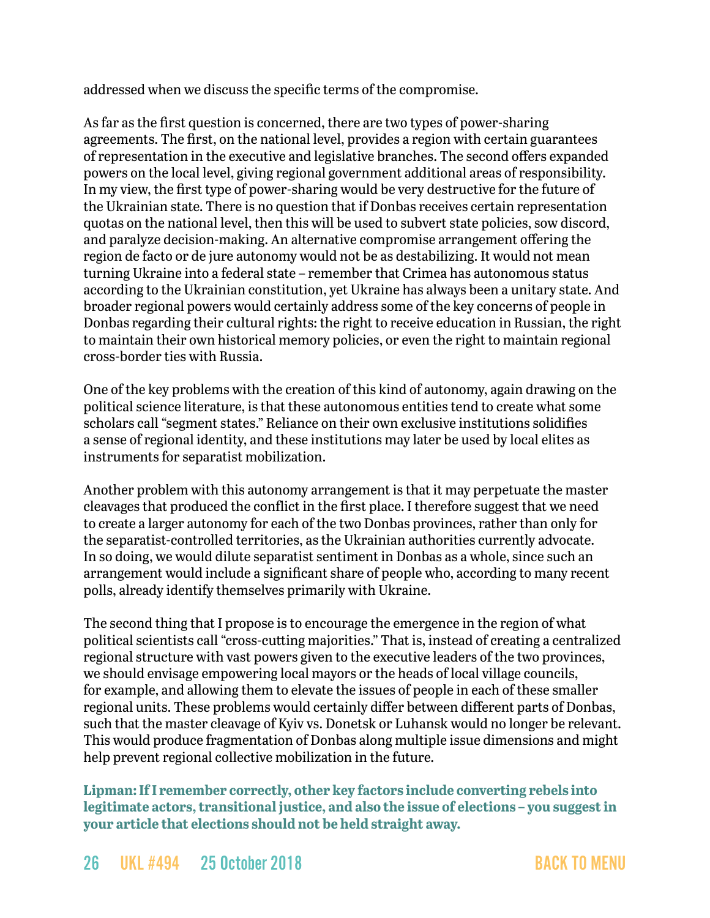addressed when we discuss the specific terms of the compromise.

As far as the first question is concerned, there are two types of power-sharing agreements. The first, on the national level, provides a region with certain guarantees of representation in the executive and legislative branches. The second offers expanded powers on the local level, giving regional government additional areas of responsibility. In my view, the first type of power-sharing would be very destructive for the future of the Ukrainian state. There is no question that if Donbas receives certain representation quotas on the national level, then this will be used to subvert state policies, sow discord, and paralyze decision-making. An alternative compromise arrangement offering the region de facto or de jure autonomy would not be as destabilizing. It would not mean turning Ukraine into a federal state – remember that Crimea has autonomous status according to the Ukrainian constitution, yet Ukraine has always been a unitary state. And broader regional powers would certainly address some of the key concerns of people in Donbas regarding their cultural rights: the right to receive education in Russian, the right to maintain their own historical memory policies, or even the right to maintain regional cross-border ties with Russia.

One of the key problems with the creation of this kind of autonomy, again drawing on the political science literature, is that these autonomous entities tend to create what some scholars call "segment states." Reliance on their own exclusive institutions solidifies a sense of regional identity, and these institutions may later be used by local elites as instruments for separatist mobilization.

Another problem with this autonomy arrangement is that it may perpetuate the master cleavages that produced the conflict in the first place. I therefore suggest that we need to create a larger autonomy for each of the two Donbas provinces, rather than only for the separatist-controlled territories, as the Ukrainian authorities currently advocate. In so doing, we would dilute separatist sentiment in Donbas as a whole, since such an arrangement would include a significant share of people who, according to many recent polls, already identify themselves primarily with Ukraine.

The second thing that I propose is to encourage the emergence in the region of what political scientists call "cross-cutting majorities." That is, instead of creating a centralized regional structure with vast powers given to the executive leaders of the two provinces, we should envisage empowering local mayors or the heads of local village councils, for example, and allowing them to elevate the issues of people in each of these smaller regional units. These problems would certainly differ between different parts of Donbas, such that the master cleavage of Kyiv vs. Donetsk or Luhansk would no longer be relevant. This would produce fragmentation of Donbas along multiple issue dimensions and might help prevent regional collective mobilization in the future.

**Lipman: If I remember correctly, other key factors include converting rebels into legitimate actors, transitional justice, and also the issue of elections – you suggest in your article that elections should not be held straight away.**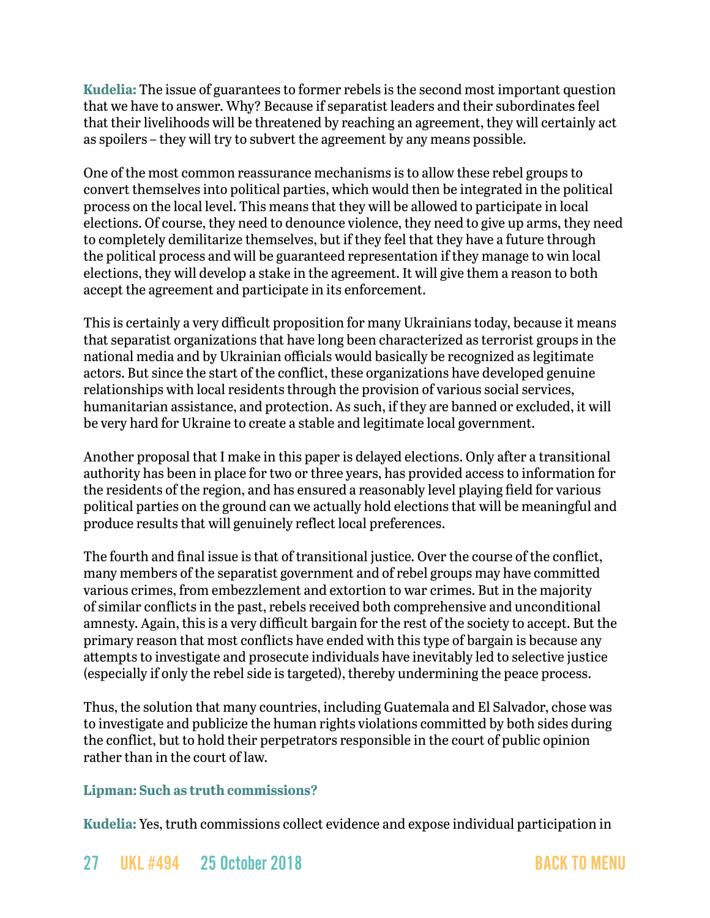**Kudelia:** The issue of guarantees to former rebels is the second most important question that we have to answer. Why? Because if separatist leaders and their subordinates feel that their livelihoods will be threatened by reaching an agreement, they will certainly act as spoilers – they will try to subvert the agreement by any means possible.

One of the most common reassurance mechanisms is to allow these rebel groups to convert themselves into political parties, which would then be integrated in the political process on the local level. This means that they will be allowed to participate in local elections. Of course, they need to denounce violence, they need to give up arms, they need to completely demilitarize themselves, but if they feel that they have a future through the political process and will be guaranteed representation if they manage to win local elections, they will develop a stake in the agreement. It will give them a reason to both accept the agreement and participate in its enforcement.

This is certainly a very difficult proposition for many Ukrainians today, because it means that separatist organizations that have long been characterized as terrorist groups in the national media and by Ukrainian officials would basically be recognized as legitimate actors. But since the start of the conflict, these organizations have developed genuine relationships with local residents through the provision of various social services, humanitarian assistance, and protection. As such, if they are banned or excluded, it will be very hard for Ukraine to create a stable and legitimate local government.

Another proposal that I make in this paper is delayed elections. Only after a transitional authority has been in place for two or three years, has provided access to information for the residents of the region, and has ensured a reasonably level playing field for various political parties on the ground can we actually hold elections that will be meaningful and produce results that will genuinely reflect local preferences.

The fourth and final issue is that of transitional justice. Over the course of the conflict, many members of the separatist government and of rebel groups may have committed various crimes, from embezzlement and extortion to war crimes. But in the majority of similar conflicts in the past, rebels received both comprehensive and unconditional amnesty. Again, this is a very difficult bargain for the rest of the society to accept. But the primary reason that most conflicts have ended with this type of bargain is because any attempts to investigate and prosecute individuals have inevitably led to selective justice (especially if only the rebel side is targeted), thereby undermining the peace process.

Thus, the solution that many countries, including Guatemala and El Salvador, chose was to investigate and publicize the human rights violations committed by both sides during the conflict, but to hold their perpetrators responsible in the court of public opinion rather than in the court of law.

### **Lipman: Such as truth commissions?**

**Kudelia:** Yes, truth commissions collect evidence and expose individual participation in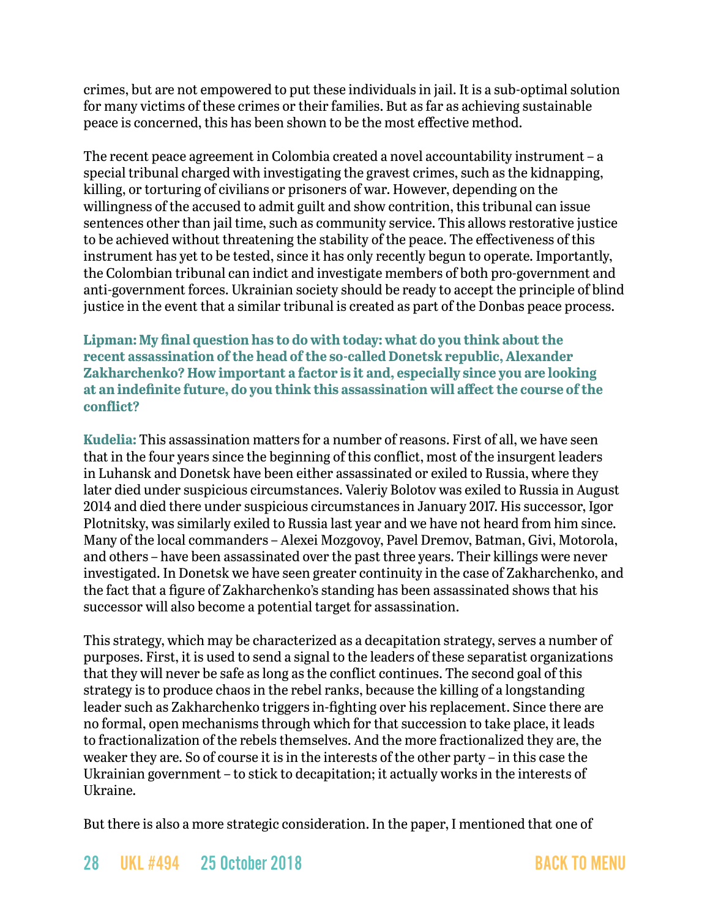crimes, but are not empowered to put these individuals in jail. It is a sub-optimal solution for many victims of these crimes or their families. But as far as achieving sustainable peace is concerned, this has been shown to be the most effective method.

The recent peace agreement in Colombia created a novel accountability instrument – a special tribunal charged with investigating the gravest crimes, such as the kidnapping, killing, or torturing of civilians or prisoners of war. However, depending on the willingness of the accused to admit guilt and show contrition, this tribunal can issue sentences other than jail time, such as community service. This allows restorative justice to be achieved without threatening the stability of the peace. The effectiveness of this instrument has yet to be tested, since it has only recently begun to operate. Importantly, the Colombian tribunal can indict and investigate members of both pro-government and anti-government forces. Ukrainian society should be ready to accept the principle of blind justice in the event that a similar tribunal is created as part of the Donbas peace process.

**Lipman: My final question has to do with today: what do you think about the recent assassination of the head of the so-called Donetsk republic, Alexander Zakharchenko? How important a factor is it and, especially since you are looking at an indefinite future, do you think this assassination will affect the course of the conflict?**

**Kudelia:** This assassination matters for a number of reasons. First of all, we have seen that in the four years since the beginning of this conflict, most of the insurgent leaders in Luhansk and Donetsk have been either assassinated or exiled to Russia, where they later died under suspicious circumstances. Valeriy Bolotov was exiled to Russia in August 2014 and died there under suspicious circumstances in January 2017. His successor, Igor Plotnitsky, was similarly exiled to Russia last year and we have not heard from him since. Many of the local commanders – Alexei Mozgovoy, Pavel Dremov, Batman, Givi, Motorola, and others – have been assassinated over the past three years. Their killings were never investigated. In Donetsk we have seen greater continuity in the case of Zakharchenko, and the fact that a figure of Zakharchenko's standing has been assassinated shows that his successor will also become a potential target for assassination.

This strategy, which may be characterized as a decapitation strategy, serves a number of purposes. First, it is used to send a signal to the leaders of these separatist organizations that they will never be safe as long as the conflict continues. The second goal of this strategy is to produce chaos in the rebel ranks, because the killing of a longstanding leader such as Zakharchenko triggers in-fighting over his replacement. Since there are no formal, open mechanisms through which for that succession to take place, it leads to fractionalization of the rebels themselves. And the more fractionalized they are, the weaker they are. So of course it is in the interests of the other party – in this case the Ukrainian government – to stick to decapitation; it actually works in the interests of Ukraine.

But there is also a more strategic consideration. In the paper, I mentioned that one of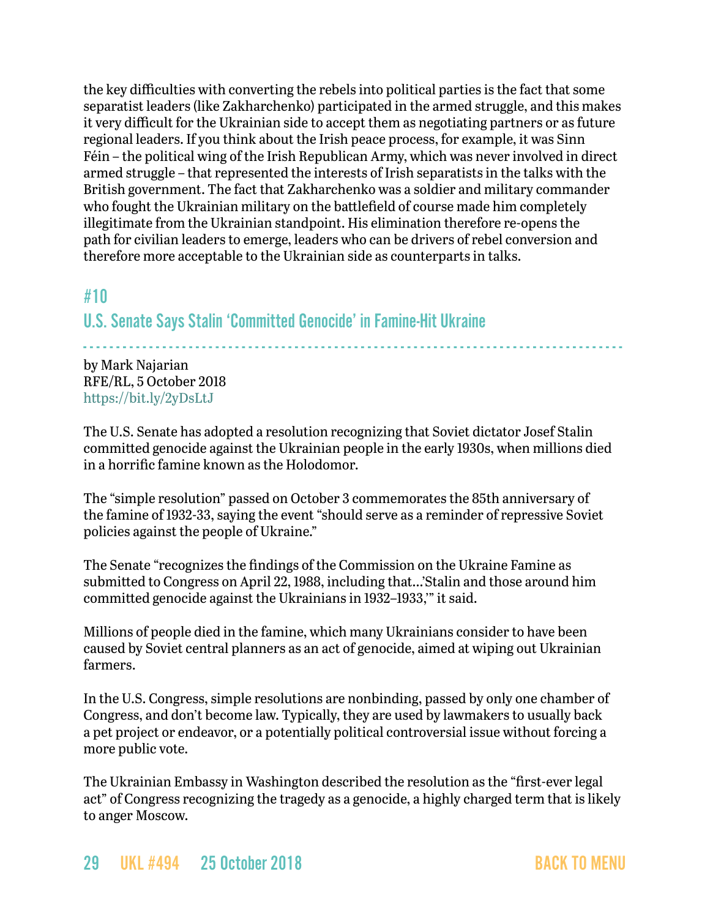the key difficulties with converting the rebels into political parties is the fact that some separatist leaders (like Zakharchenko) participated in the armed struggle, and this makes it very difficult for the Ukrainian side to accept them as negotiating partners or as future regional leaders. If you think about the Irish peace process, for example, it was Sinn Féin – the political wing of the Irish Republican Army, which was never involved in direct armed struggle – that represented the interests of Irish separatists in the talks with the British government. The fact that Zakharchenko was a soldier and military commander who fought the Ukrainian military on the battlefield of course made him completely illegitimate from the Ukrainian standpoint. His elimination therefore re-opens the path for civilian leaders to emerge, leaders who can be drivers of rebel conversion and therefore more acceptable to the Ukrainian side as counterparts in talks.

### <span id="page-28-0"></span>#10

# U.S. Senate Says Stalin 'Committed Genocide' in Famine-Hit Ukraine

- - - - - - - - - - - - - - - - - - - - - - - - - - - - - - - - - - - - - - - - - - - - - - - - - - - - - - - - - - - - - - - - - - - - - - - - - - - - - - - - - by Mark Najarian RFE/RL, 5 October 2018 <https://bit.ly/2yDsLtJ>

The U.S. Senate has adopted a resolution recognizing that Soviet dictator Josef Stalin committed genocide against the Ukrainian people in the early 1930s, when millions died in a horrific famine known as the Holodomor.

The "simple resolution" passed on October 3 commemorates the 85th anniversary of the famine of 1932-33, saying the event "should serve as a reminder of repressive Soviet policies against the people of Ukraine."

The Senate "recognizes the findings of the Commission on the Ukraine Famine as submitted to Congress on April 22, 1988, including that...'Stalin and those around him committed genocide against the Ukrainians in 1932–1933,'" it said.

Millions of people died in the famine, which many Ukrainians consider to have been caused by Soviet central planners as an act of genocide, aimed at wiping out Ukrainian farmers.

In the U.S. Congress, simple resolutions are nonbinding, passed by only one chamber of Congress, and don't become law. Typically, they are used by lawmakers to usually back a pet project or endeavor, or a potentially political controversial issue without forcing a more public vote.

The Ukrainian Embassy in Washington described the resolution as the "first-ever legal act" of Congress recognizing the tragedy as a genocide, a highly charged term that is likely to anger Moscow.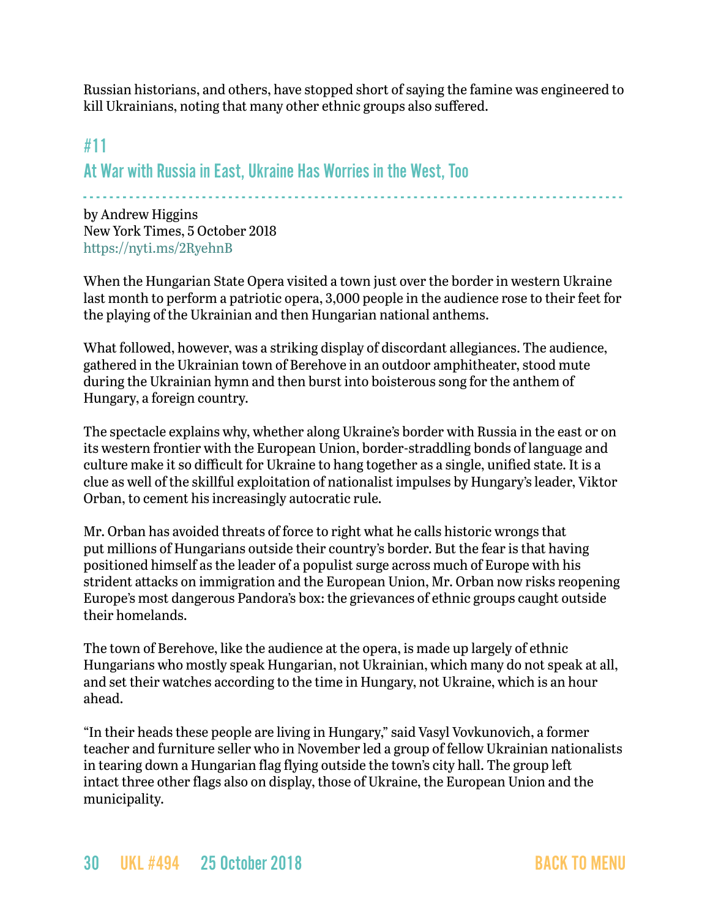Russian historians, and others, have stopped short of saying the famine was engineered to kill Ukrainians, noting that many other ethnic groups also suffered.

# <span id="page-29-0"></span>#11 At War with Russia in East, Ukraine Has Worries in the West, Too

- - - - - - - - - - - - - - - - - - - - - - - - - - - - - - - - - - - - - - - - - - - - - - - - - - - - - - - - - - - - - - - - - - - - - - - - - - - - - - - - - -

by Andrew Higgins New York Times, 5 October 2018 <https://nyti.ms/2RyehnB>

When the Hungarian State Opera visited a town just over the border in western Ukraine last month to perform a patriotic opera, 3,000 people in the audience rose to their feet for the playing of the Ukrainian and then Hungarian national anthems.

What followed, however, was a striking display of discordant allegiances. The audience, gathered in the Ukrainian town of Berehove in an outdoor amphitheater, stood mute during the Ukrainian hymn and then burst into boisterous song for the anthem of Hungary, a foreign country.

The spectacle explains why, whether along Ukraine's border with Russia in the east or on its western frontier with the European Union, border-straddling bonds of language and culture make it so difficult for Ukraine to hang together as a single, unified state. It is a clue as well of the skillful exploitation of nationalist impulses by Hungary's leader, Viktor Orban, to cement his increasingly autocratic rule.

Mr. Orban has avoided threats of force to right what he calls historic wrongs that put millions of Hungarians outside their country's border. But the fear is that having positioned himself as the leader of a populist surge across much of Europe with his strident attacks on immigration and the European Union, Mr. Orban now risks reopening Europe's most dangerous Pandora's box: the grievances of ethnic groups caught outside their homelands.

The town of Berehove, like the audience at the opera, is made up largely of ethnic Hungarians who mostly speak Hungarian, not Ukrainian, which many do not speak at all, and set their watches according to the time in Hungary, not Ukraine, which is an hour ahead.

"In their heads these people are living in Hungary," said Vasyl Vovkunovich, a former teacher and furniture seller who in November led a group of fellow Ukrainian nationalists in tearing down a Hungarian flag flying outside the town's city hall. The group left intact three other flags also on display, those of Ukraine, the European Union and the municipality.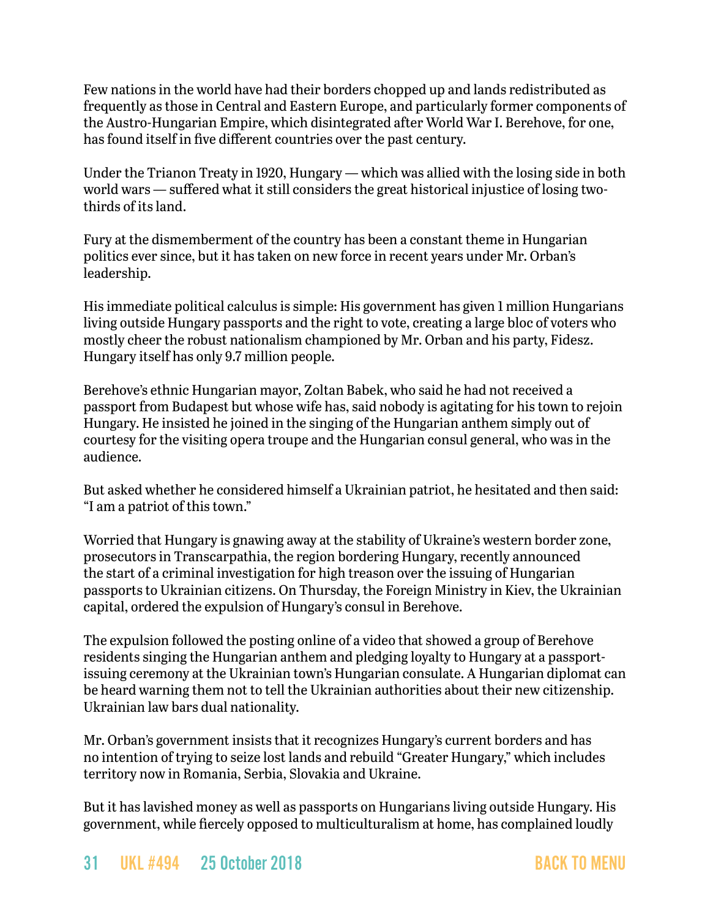Few nations in the world have had their borders chopped up and lands redistributed as frequently as those in Central and Eastern Europe, and particularly former components of the Austro-Hungarian Empire, which disintegrated after World War I. Berehove, for one, has found itself in five different countries over the past century.

Under the Trianon Treaty in 1920, Hungary — which was allied with the losing side in both world wars — suffered what it still considers the great historical injustice of losing twothirds of its land.

Fury at the dismemberment of the country has been a constant theme in Hungarian politics ever since, but it has taken on new force in recent years under Mr. Orban's leadership.

His immediate political calculus is simple: His government has given 1 million Hungarians living outside Hungary passports and the right to vote, creating a large bloc of voters who mostly cheer the robust nationalism championed by Mr. Orban and his party, Fidesz. Hungary itself has only 9.7 million people.

Berehove's ethnic Hungarian mayor, Zoltan Babek, who said he had not received a passport from Budapest but whose wife has, said nobody is agitating for his town to rejoin Hungary. He insisted he joined in the singing of the Hungarian anthem simply out of courtesy for the visiting opera troupe and the Hungarian consul general, who was in the audience.

But asked whether he considered himself a Ukrainian patriot, he hesitated and then said: "I am a patriot of this town."

Worried that Hungary is gnawing away at the stability of Ukraine's western border zone, prosecutors in Transcarpathia, the region bordering Hungary, recently announced the start of a criminal investigation for high treason over the issuing of Hungarian passports to Ukrainian citizens. On Thursday, the Foreign Ministry in Kiev, the Ukrainian capital, ordered the expulsion of Hungary's consul in Berehove.

The expulsion followed the posting online of a video that showed a group of Berehove residents singing the Hungarian anthem and pledging loyalty to Hungary at a passportissuing ceremony at the Ukrainian town's Hungarian consulate. A Hungarian diplomat can be heard warning them not to tell the Ukrainian authorities about their new citizenship. Ukrainian law bars dual nationality.

Mr. Orban's government insists that it recognizes Hungary's current borders and has no intention of trying to seize lost lands and rebuild "Greater Hungary," which includes territory now in Romania, Serbia, Slovakia and Ukraine.

But it has lavished money as well as passports on Hungarians living outside Hungary. His government, while fiercely opposed to multiculturalism at home, has complained loudly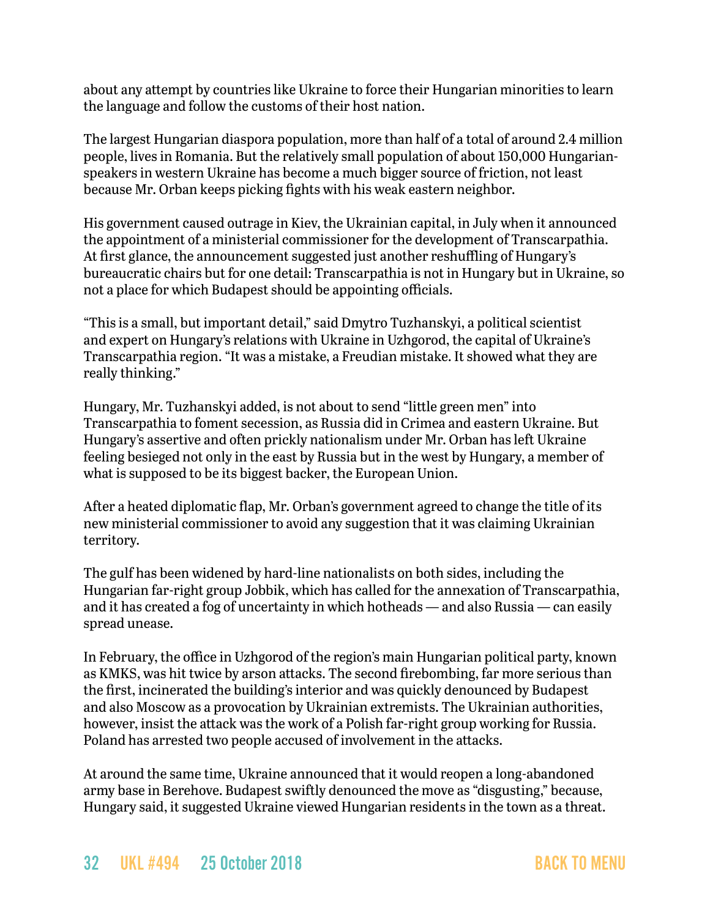about any attempt by countries like Ukraine to force their Hungarian minorities to learn the language and follow the customs of their host nation.

The largest Hungarian diaspora population, more than half of a total of around 2.4 million people, lives in Romania. But the relatively small population of about 150,000 Hungarianspeakers in western Ukraine has become a much bigger source of friction, not least because Mr. Orban keeps picking fights with his weak eastern neighbor.

His government caused outrage in Kiev, the Ukrainian capital, in July when it announced the appointment of a ministerial commissioner for the development of Transcarpathia. At first glance, the announcement suggested just another reshuffling of Hungary's bureaucratic chairs but for one detail: Transcarpathia is not in Hungary but in Ukraine, so not a place for which Budapest should be appointing officials.

"This is a small, but important detail," said Dmytro Tuzhanskyi, a political scientist and expert on Hungary's relations with Ukraine in Uzhgorod, the capital of Ukraine's Transcarpathia region. "It was a mistake, a Freudian mistake. It showed what they are really thinking."

Hungary, Mr. Tuzhanskyi added, is not about to send "little green men" into Transcarpathia to foment secession, as Russia did in Crimea and eastern Ukraine. But Hungary's assertive and often prickly nationalism under Mr. Orban has left Ukraine feeling besieged not only in the east by Russia but in the west by Hungary, a member of what is supposed to be its biggest backer, the European Union.

After a heated diplomatic flap, Mr. Orban's government agreed to change the title of its new ministerial commissioner to avoid any suggestion that it was claiming Ukrainian territory.

The gulf has been widened by hard-line nationalists on both sides, including the Hungarian far-right group Jobbik, which has called for the annexation of Transcarpathia, and it has created a fog of uncertainty in which hotheads — and also Russia — can easily spread unease.

In February, the office in Uzhgorod of the region's main Hungarian political party, known as KMKS, was hit twice by arson attacks. The second firebombing, far more serious than the first, incinerated the building's interior and was quickly denounced by Budapest and also Moscow as a provocation by Ukrainian extremists. The Ukrainian authorities, however, insist the attack was the work of a Polish far-right group working for Russia. Poland has arrested two people accused of involvement in the attacks.

At around the same time, Ukraine announced that it would reopen a long-abandoned army base in Berehove. Budapest swiftly denounced the move as "disgusting," because, Hungary said, it suggested Ukraine viewed Hungarian residents in the town as a threat.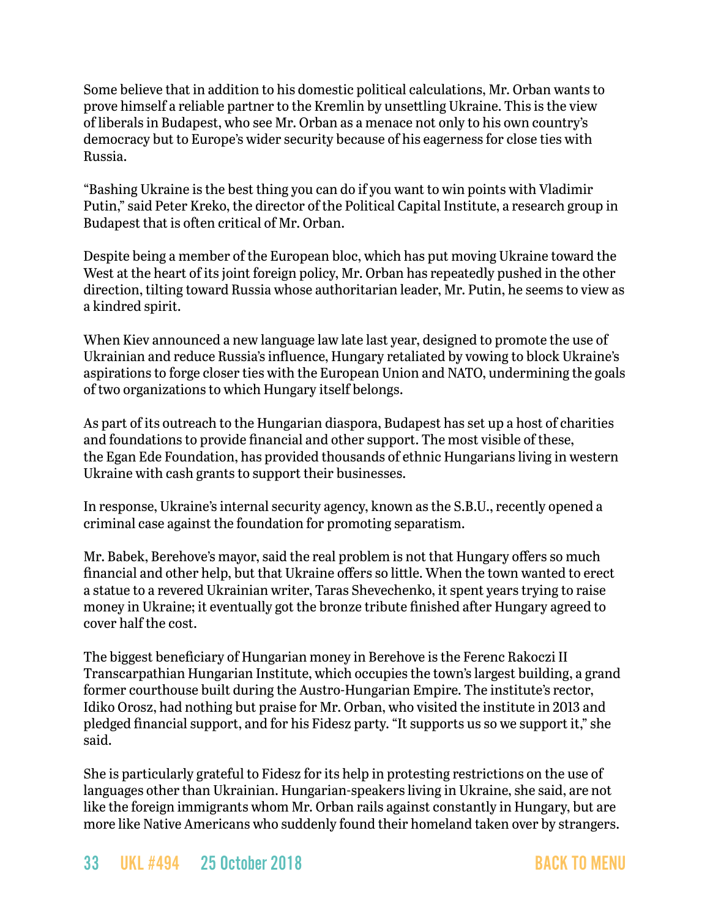Some believe that in addition to his domestic political calculations, Mr. Orban wants to prove himself a reliable partner to the Kremlin by unsettling Ukraine. This is the view of liberals in Budapest, who see Mr. Orban as a menace not only to his own country's democracy but to Europe's wider security because of his eagerness for close ties with Russia.

"Bashing Ukraine is the best thing you can do if you want to win points with Vladimir Putin," said Peter Kreko, the director of the Political Capital Institute, a research group in Budapest that is often critical of Mr. Orban.

Despite being a member of the European bloc, which has put moving Ukraine toward the West at the heart of its joint foreign policy, Mr. Orban has repeatedly pushed in the other direction, tilting toward Russia whose authoritarian leader, Mr. Putin, he seems to view as a kindred spirit.

When Kiev announced a new language law late last year, designed to promote the use of Ukrainian and reduce Russia's influence, Hungary retaliated by vowing to block Ukraine's aspirations to forge closer ties with the European Union and NATO, undermining the goals of two organizations to which Hungary itself belongs.

As part of its outreach to the Hungarian diaspora, Budapest has set up a host of charities and foundations to provide financial and other support. The most visible of these, the Egan Ede Foundation, has provided thousands of ethnic Hungarians living in western Ukraine with cash grants to support their businesses.

In response, Ukraine's internal security agency, known as the S.B.U., recently opened a criminal case against the foundation for promoting separatism.

Mr. Babek, Berehove's mayor, said the real problem is not that Hungary offers so much financial and other help, but that Ukraine offers so little. When the town wanted to erect a statue to a revered Ukrainian writer, Taras Shevechenko, it spent years trying to raise money in Ukraine; it eventually got the bronze tribute finished after Hungary agreed to cover half the cost.

The biggest beneficiary of Hungarian money in Berehove is the Ferenc Rakoczi II Transcarpathian Hungarian Institute, which occupies the town's largest building, a grand former courthouse built during the Austro-Hungarian Empire. The institute's rector, Idiko Orosz, had nothing but praise for Mr. Orban, who visited the institute in 2013 and pledged financial support, and for his Fidesz party. "It supports us so we support it," she said.

She is particularly grateful to Fidesz for its help in protesting restrictions on the use of languages other than Ukrainian. Hungarian-speakers living in Ukraine, she said, are not like the foreign immigrants whom Mr. Orban rails against constantly in Hungary, but are more like Native Americans who suddenly found their homeland taken over by strangers.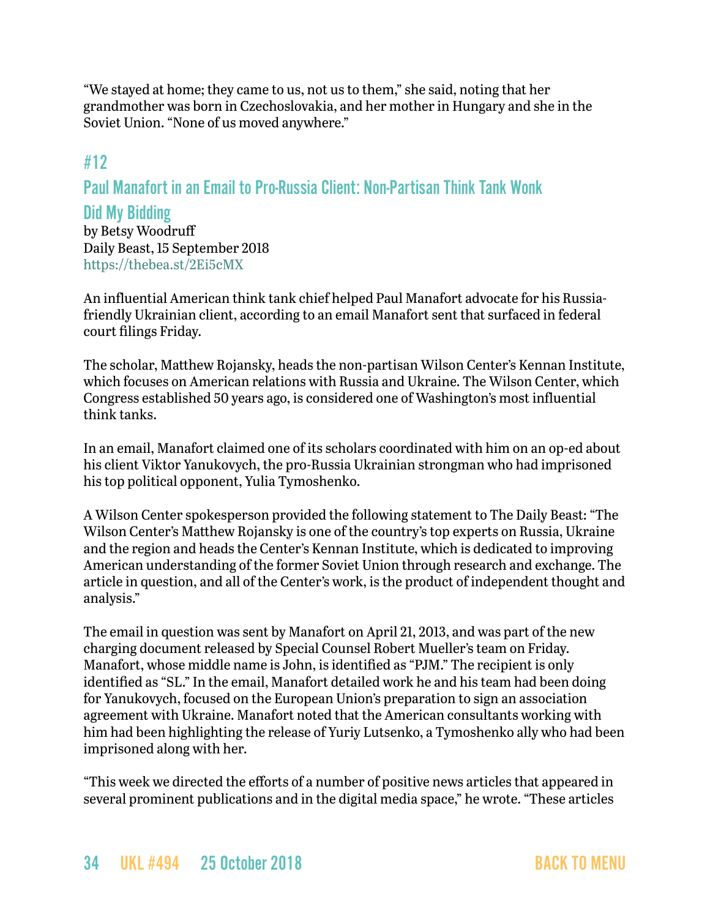"We stayed at home; they came to us, not us to them," she said, noting that her grandmother was born in Czechoslovakia, and her mother in Hungary and she in the Soviet Union. "None of us moved anywhere."

# <span id="page-33-0"></span>#12

Paul Manafort in an Email to Pro-Russia Client: Non-Partisan Think Tank Wonk

Did My Bidding by Betsy Woodruff Daily Beast, 15 September 2018 <https://thebea.st/2Ei5cMX>

An influential American think tank chief helped Paul Manafort advocate for his Russiafriendly Ukrainian client, according to an email Manafort sent that surfaced in federal court filings Friday.

The scholar, Matthew Rojansky, heads the non-partisan Wilson Center's Kennan Institute, which focuses on American relations with Russia and Ukraine. The Wilson Center, which Congress established 50 years ago, is considered one of Washington's most influential think tanks.

In an email, Manafort claimed one of its scholars coordinated with him on an op-ed about his client Viktor Yanukovych, the pro-Russia Ukrainian strongman who had imprisoned his top political opponent, Yulia Tymoshenko.

A Wilson Center spokesperson provided the following statement to The Daily Beast: "The Wilson Center's Matthew Rojansky is one of the country's top experts on Russia, Ukraine and the region and heads the Center's Kennan Institute, which is dedicated to improving American understanding of the former Soviet Union through research and exchange. The article in question, and all of the Center's work, is the product of independent thought and analysis."

The email in question was sent by Manafort on April 21, 2013, and was part of the new charging document released by Special Counsel Robert Mueller's team on Friday. Manafort, whose middle name is John, is identified as "PJM." The recipient is only identified as "SL." In the email, Manafort detailed work he and his team had been doing for Yanukovych, focused on the European Union's preparation to sign an association agreement with Ukraine. Manafort noted that the American consultants working with him had been highlighting the release of Yuriy Lutsenko, a Tymoshenko ally who had been imprisoned along with her.

"This week we directed the efforts of a number of positive news articles that appeared in several prominent publications and in the digital media space," he wrote. "These articles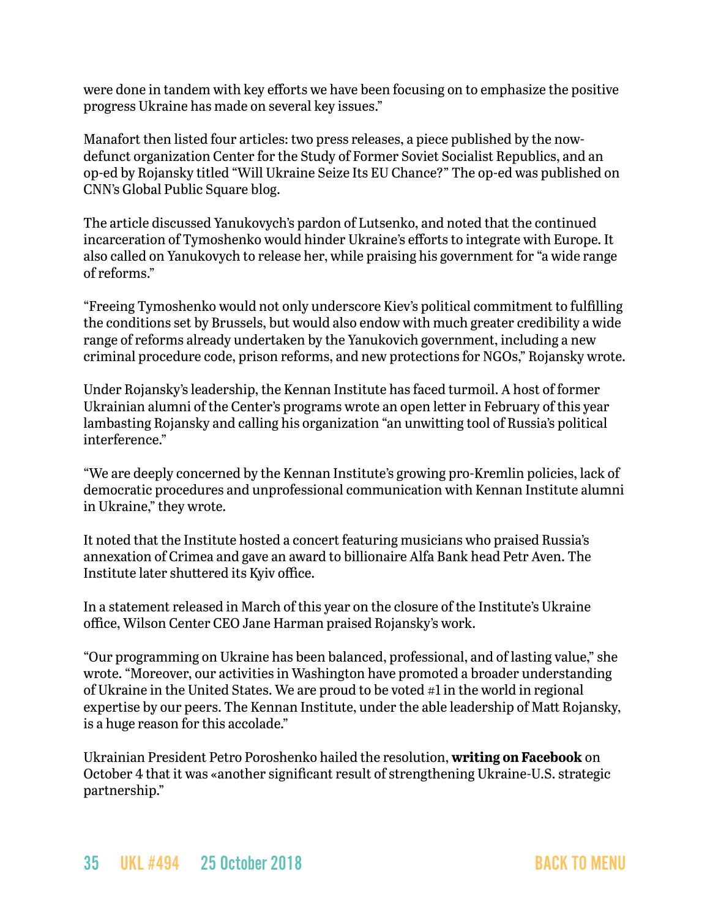were done in tandem with key efforts we have been focusing on to emphasize the positive progress Ukraine has made on several key issues."

Manafort then listed four articles: two press releases, a piece published by the nowdefunct organization Center for the Study of Former Soviet Socialist Republics, and an op-ed by Rojansky titled "Will Ukraine Seize Its EU Chance?" The op-ed was published on CNN's Global Public Square blog.

The article discussed Yanukovych's pardon of Lutsenko, and noted that the continued incarceration of Tymoshenko would hinder Ukraine's efforts to integrate with Europe. It also called on Yanukovych to release her, while praising his government for "a wide range of reforms."

"Freeing Tymoshenko would not only underscore Kiev's political commitment to fulfilling the conditions set by Brussels, but would also endow with much greater credibility a wide range of reforms already undertaken by the Yanukovich government, including a new criminal procedure code, prison reforms, and new protections for NGOs," Rojansky wrote.

Under Rojansky's leadership, the Kennan Institute has faced turmoil. A host of former Ukrainian alumni of the Center's programs wrote an open letter in February of this year lambasting Rojansky and calling his organization "an unwitting tool of Russia's political interference."

"We are deeply concerned by the Kennan Institute's growing pro-Kremlin policies, lack of democratic procedures and unprofessional communication with Kennan Institute alumni in Ukraine," they wrote.

It noted that the Institute hosted a concert featuring musicians who praised Russia's annexation of Crimea and gave an award to billionaire Alfa Bank head Petr Aven. The Institute later shuttered its Kyiv office.

In a statement released in March of this year on the closure of the Institute's Ukraine office, Wilson Center CEO Jane Harman praised Rojansky's work.

"Our programming on Ukraine has been balanced, professional, and of lasting value," she wrote. "Moreover, our activities in Washington have promoted a broader understanding of Ukraine in the United States. We are proud to be voted #1 in the world in regional expertise by our peers. The Kennan Institute, under the able leadership of Matt Rojansky, is a huge reason for this accolade."

Ukrainian President Petro Poroshenko hailed the resolution, **writing on Facebook** on October 4 that it was «another significant result of strengthening Ukraine-U.S. strategic partnership."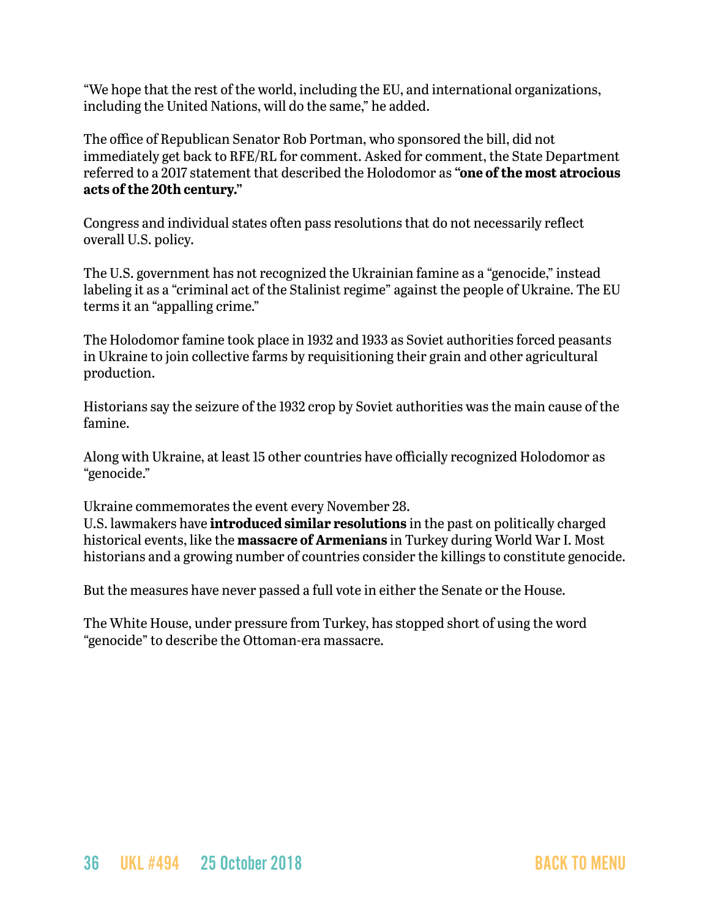"We hope that the rest of the world, including the EU, and international organizations, including the United Nations, will do the same," he added.

The office of Republican Senator Rob Portman, who sponsored the bill, did not immediately get back to RFE/RL for comment. Asked for comment, the State Department referred to a 2017 statement that described the Holodomor as **"one of the most atrocious acts of the 20th century."**

Congress and individual states often pass resolutions that do not necessarily reflect overall U.S. policy.

The U.S. government has not recognized the Ukrainian famine as a "genocide," instead labeling it as a "criminal act of the Stalinist regime" against the people of Ukraine. The EU terms it an "appalling crime."

The Holodomor famine took place in 1932 and 1933 as Soviet authorities forced peasants in Ukraine to join collective farms by requisitioning their grain and other agricultural production.

Historians say the seizure of the 1932 crop by Soviet authorities was the main cause of the famine.

Along with Ukraine, at least 15 other countries have officially recognized Holodomor as "genocide."

Ukraine commemorates the event every November 28.

U.S. lawmakers have **introduced similar resolutions** in the past on politically charged historical events, like the **massacre of Armenians** in Turkey during World War I. Most historians and a growing number of countries consider the killings to constitute genocide.

But the measures have never passed a full vote in either the Senate or the House.

The White House, under pressure from Turkey, has stopped short of using the word "genocide" to describe the Ottoman-era massacre.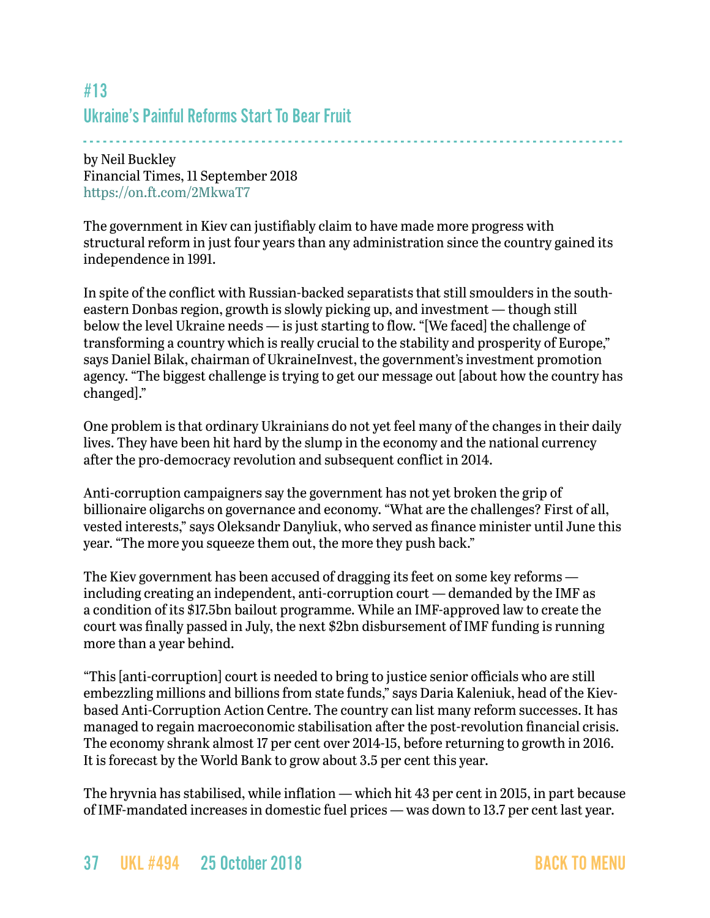# #13 Ukraine's Painful Reforms Start To Bear Fruit

- - - - - - - - - - - - - - - - - - - - - - - - - - - - - - - - - - - - - - - - - - - - - - - - - - - - - - - - - - - - - - - - - - - - - - - - - - - - - - - - - by Neil Buckley Financial Times, 11 September 2018 <https://on.ft.com/2MkwaT7>

The government in Kiev can justifiably claim to have made more progress with structural reform in just four years than any administration since the country gained its independence in 1991.

In spite of the conflict with Russian-backed separatists that still smoulders in the southeastern Donbas region, growth is slowly picking up, and investment — though still below the level Ukraine needs — is just starting to flow. "[We faced] the challenge of transforming a country which is really crucial to the stability and prosperity of Europe," says Daniel Bilak, chairman of UkraineInvest, the government's investment promotion agency. "The biggest challenge is trying to get our message out [about how the country has changed]."

One problem is that ordinary Ukrainians do not yet feel many of the changes in their daily lives. They have been hit hard by the slump in the economy and the national currency after the pro-democracy revolution and subsequent conflict in 2014.

Anti-corruption campaigners say the government has not yet broken the grip of billionaire oligarchs on governance and economy. "What are the challenges? First of all, vested interests," says Oleksandr Danyliuk, who served as finance minister until June this year. "The more you squeeze them out, the more they push back."

The Kiev government has been accused of dragging its feet on some key reforms including creating an independent, anti-corruption court — demanded by the IMF as a condition of its \$17.5bn bailout programme. While an IMF-approved law to create the court was finally passed in July, the next \$2bn disbursement of IMF funding is running more than a year behind.

"This [anti-corruption] court is needed to bring to justice senior officials who are still embezzling millions and billions from state funds," says Daria Kaleniuk, head of the Kievbased Anti-Corruption Action Centre. The country can list many reform successes. It has managed to regain macroeconomic stabilisation after the post-revolution financial crisis. The economy shrank almost 17 per cent over 2014-15, before returning to growth in 2016. It is forecast by the World Bank to grow about 3.5 per cent this year.

The hryvnia has stabilised, while inflation — which hit 43 per cent in 2015, in part because of IMF-mandated increases in domestic fuel prices — was down to 13.7 per cent last year.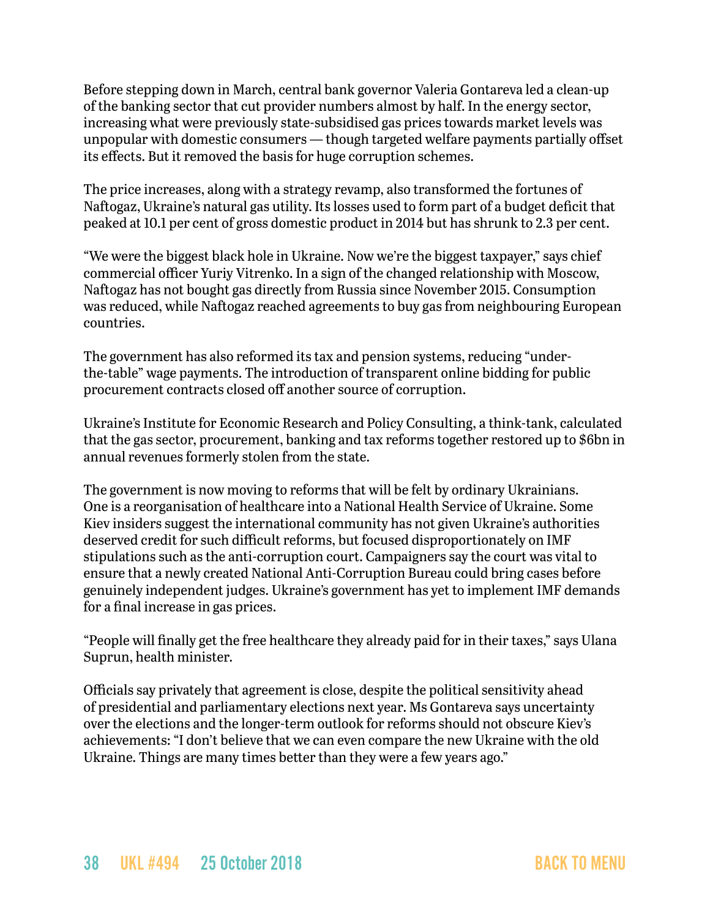Before stepping down in March, central bank governor Valeria Gontareva led a clean-up of the banking sector that cut provider numbers almost by half. In the energy sector, increasing what were previously state-subsidised gas prices towards market levels was unpopular with domestic consumers — though targeted welfare payments partially offset its effects. But it removed the basis for huge corruption schemes.

The price increases, along with a strategy revamp, also transformed the fortunes of Naftogaz, Ukraine's natural gas utility. Its losses used to form part of a budget deficit that peaked at 10.1 per cent of gross domestic product in 2014 but has shrunk to 2.3 per cent.

"We were the biggest black hole in Ukraine. Now we're the biggest taxpayer," says chief commercial officer Yuriy Vitrenko. In a sign of the changed relationship with Moscow, Naftogaz has not bought gas directly from Russia since November 2015. Consumption was reduced, while Naftogaz reached agreements to buy gas from neighbouring European countries.

The government has also reformed its tax and pension systems, reducing "underthe-table" wage payments. The introduction of transparent online bidding for public procurement contracts closed off another source of corruption.

Ukraine's Institute for Economic Research and Policy Consulting, a think-tank, calculated that the gas sector, procurement, banking and tax reforms together restored up to \$6bn in annual revenues formerly stolen from the state.

The government is now moving to reforms that will be felt by ordinary Ukrainians. One is a reorganisation of healthcare into a National Health Service of Ukraine. Some Kiev insiders suggest the international community has not given Ukraine's authorities deserved credit for such difficult reforms, but focused disproportionately on IMF stipulations such as the anti-corruption court. Campaigners say the court was vital to ensure that a newly created National Anti-Corruption Bureau could bring cases before genuinely independent judges. Ukraine's government has yet to implement IMF demands for a final increase in gas prices.

"People will finally get the free healthcare they already paid for in their taxes," says Ulana Suprun, health minister.

Officials say privately that agreement is close, despite the political sensitivity ahead of presidential and parliamentary elections next year. Ms Gontareva says uncertainty over the elections and the longer-term outlook for reforms should not obscure Kiev's achievements: "I don't believe that we can even compare the new Ukraine with the old Ukraine. Things are many times better than they were a few years ago."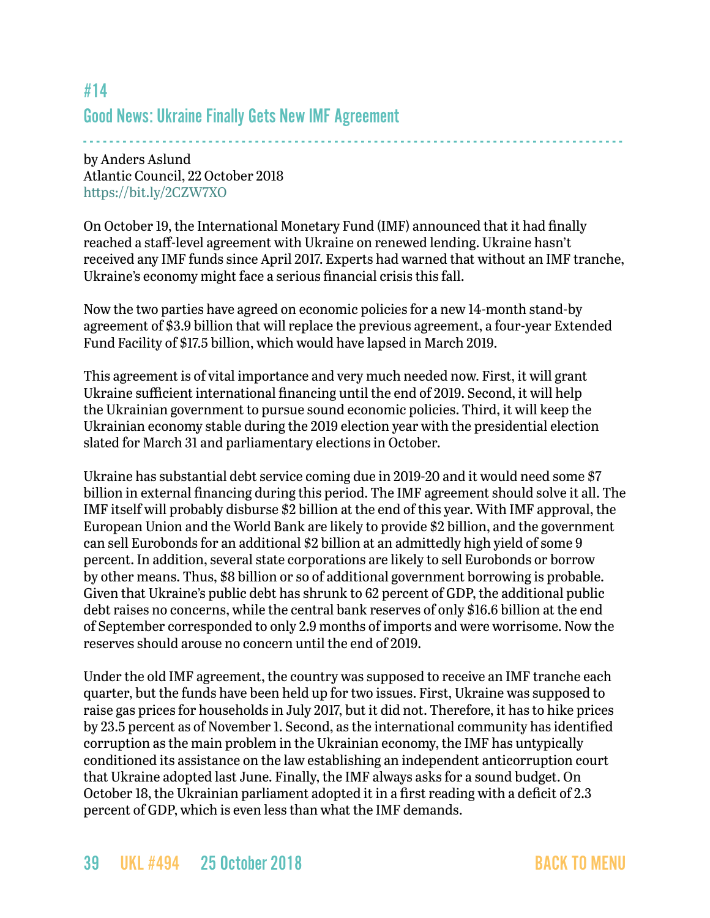# <span id="page-38-0"></span>#14 Good News: Ukraine Finally Gets New IMF Agreement

- - - - - - - - - - - - - - - - - - - - - - - - - - - - - - - - - - - - - - - - - - - - - - - - - - - - - - - - - - - - - - - - - - - - - - - - - - - - - - - - - by Anders Aslund Atlantic Council, 22 October 2018 <https://bit.ly/2CZW7XO>

On October 19, the International Monetary Fund (IMF) announced that it had finally reached a staff-level agreement with Ukraine on renewed lending. Ukraine hasn't received any IMF funds since April 2017. Experts had warned that without an IMF tranche, Ukraine's economy might face a serious financial crisis this fall.

Now the two parties have agreed on economic policies for a new 14-month stand-by agreement of \$3.9 billion that will replace the previous agreement, a four-year Extended Fund Facility of \$17.5 billion, which would have lapsed in March 2019.

This agreement is of vital importance and very much needed now. First, it will grant Ukraine sufficient international financing until the end of 2019. Second, it will help the Ukrainian government to pursue sound economic policies. Third, it will keep the Ukrainian economy stable during the 2019 election year with the presidential election slated for March 31 and parliamentary elections in October.

Ukraine has substantial debt service coming due in 2019-20 and it would need some \$7 billion in external financing during this period. The IMF agreement should solve it all. The IMF itself will probably disburse \$2 billion at the end of this year. With IMF approval, the European Union and the World Bank are likely to provide \$2 billion, and the government can sell Eurobonds for an additional \$2 billion at an admittedly high yield of some 9 percent. In addition, several state corporations are likely to sell Eurobonds or borrow by other means. Thus, \$8 billion or so of additional government borrowing is probable. Given that Ukraine's public debt has shrunk to 62 percent of GDP, the additional public debt raises no concerns, while the central bank reserves of only \$16.6 billion at the end of September corresponded to only 2.9 months of imports and were worrisome. Now the reserves should arouse no concern until the end of 2019.

Under the old IMF agreement, the country was supposed to receive an IMF tranche each quarter, but the funds have been held up for two issues. First, Ukraine was supposed to raise gas prices for households in July 2017, but it did not. Therefore, it has to hike prices by 23.5 percent as of November 1. Second, as the international community has identified corruption as the main problem in the Ukrainian economy, the IMF has untypically conditioned its assistance on the law establishing an independent anticorruption court that Ukraine adopted last June. Finally, the IMF always asks for a sound budget. On October 18, the Ukrainian parliament adopted it in a first reading with a deficit of 2.3 percent of GDP, which is even less than what the IMF demands.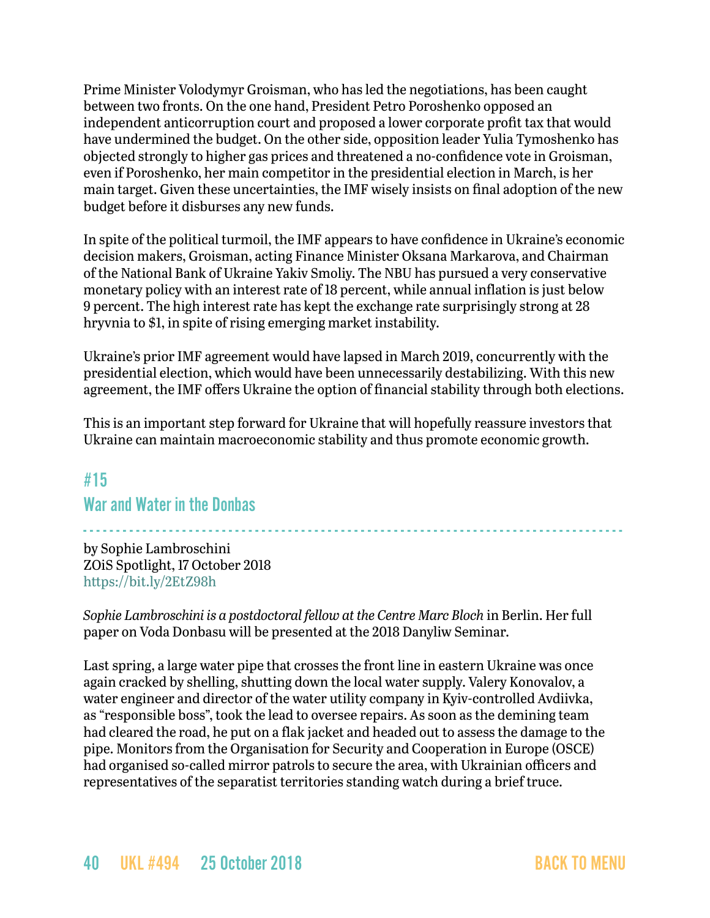Prime Minister Volodymyr Groisman, who has led the negotiations, has been caught between two fronts. On the one hand, President Petro Poroshenko opposed an independent anticorruption court and proposed a lower corporate profit tax that would have undermined the budget. On the other side, opposition leader Yulia Tymoshenko has objected strongly to higher gas prices and threatened a no-confidence vote in Groisman, even if Poroshenko, her main competitor in the presidential election in March, is her main target. Given these uncertainties, the IMF wisely insists on final adoption of the new budget before it disburses any new funds.

In spite of the political turmoil, the IMF appears to have confidence in Ukraine's economic decision makers, Groisman, acting Finance Minister Oksana Markarova, and Chairman of the National Bank of Ukraine Yakiv Smoliy. The NBU has pursued a very conservative monetary policy with an interest rate of 18 percent, while annual inflation is just below 9 percent. The high interest rate has kept the exchange rate surprisingly strong at 28 hryvnia to \$1, in spite of rising emerging market instability.

Ukraine's prior IMF agreement would have lapsed in March 2019, concurrently with the presidential election, which would have been unnecessarily destabilizing. With this new agreement, the IMF offers Ukraine the option of financial stability through both elections.

This is an important step forward for Ukraine that will hopefully reassure investors that Ukraine can maintain macroeconomic stability and thus promote economic growth.

### <span id="page-39-0"></span>#15

### War and Water in the Donbas

- - - - - - - - - - - - - - - - - - - - - - - - - - - - - - - - - - - - - - - - - - - - - - - - - - - - - - - - - - - - - - - - - - - - - - - - - - - - - - - - - by Sophie Lambroschini ZOiS Spotlight, 17 October 2018 <https://bit.ly/2EtZ98h>

*Sophie Lambroschini is a postdoctoral fellow at the [Centre Marc Bloch](https://cmb.hu-berlin.de/)* in Berlin. Her full paper on Voda Donbasu will be presented at the 2018 Danyliw Seminar.

Last spring, a large water pipe that crosses the front line in eastern Ukraine was once again cracked by shelling, shutting down the local water supply. Valery Konovalov, a water engineer and director of the water utility company in Kyiv-controlled Avdiivka, as "responsible boss", took the lead to oversee repairs. As soon as the demining team had cleared the road, he put on a flak jacket and headed out to assess the damage to the pipe. Monitors from the Organisation for Security and Cooperation in Europe (OSCE) had organised so-called mirror patrols to secure the area, with Ukrainian officers and representatives of the separatist territories standing watch during a brief truce.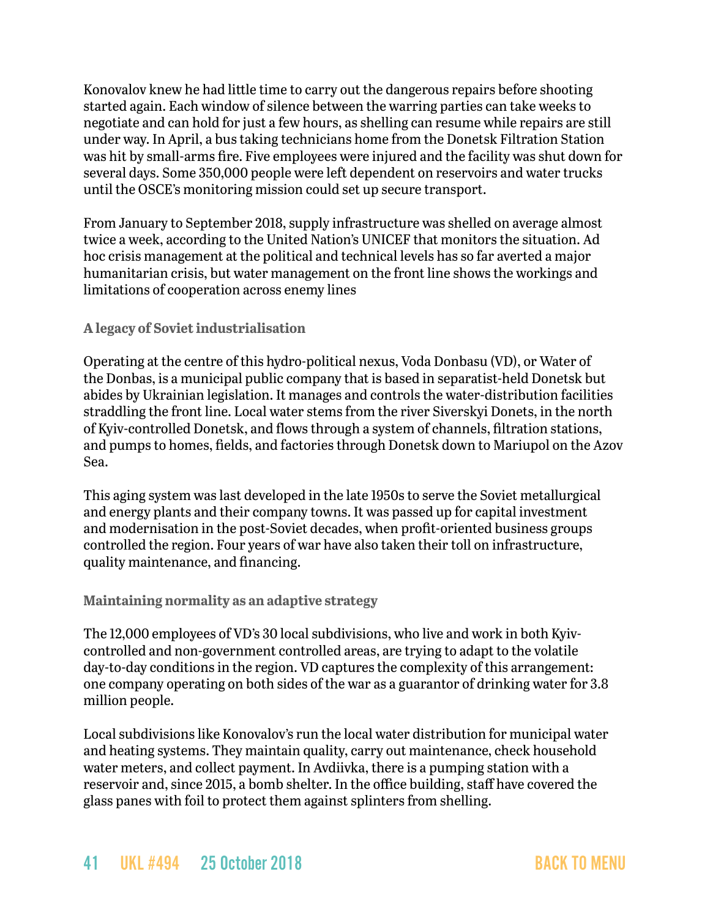Konovalov knew he had little time to carry out the dangerous repairs before shooting started again. Each window of silence between the warring parties can take weeks to negotiate and can hold for just a few hours, as [shelling can resume](http://www.voda.dn.ua/novosti/content-elements/novosti-kompanii) while repairs are still under way. In April, a bus taking technicians home from the Donetsk Filtration Station was hit by small-arms fire. Five employees were injured and the facility was shut down for several days. Some 350,000 people were left dependent on reservoirs and water trucks until the OSCE's monitoring mission could set up secure transport.

From January to September 2018, supply infrastructure was shelled on average almost twice a week, according to the United Nation's [UNICEF](https://www.humanitarianresponse.info/en/operations/ukraine/water-sanitation-and-hygiene) that monitors the situation. Ad hoc crisis management at the political and technical levels has so far averted a major humanitarian crisis, but water management on the front line shows the workings and limitations of cooperation across enemy lines

#### **A legacy of Soviet industrialisation**

Operating at the centre of this hydro-political nexus, Voda Donbasu (VD), or Water of the Donbas, is a municipal public company that is based in separatist-held Donetsk but abides by Ukrainian legislation. It manages and controls the water-distribution facilities straddling the front line. Local water stems from the river Siverskyi Donets, in the north of Kyiv-controlled Donetsk, and flows through a system of channels, filtration stations, and pumps to homes, fields, and factories through Donetsk down to Mariupol on the Azov Sea.

This aging system was last developed in the late 1950s to serve the Soviet metallurgical and energy plants and their company towns. It was passed up for capital investment and modernisation in the post-Soviet decades, when profit-oriented business groups controlled the region. Four years of war have also taken their toll on infrastructure, quality maintenance, and financing.

#### **Maintaining normality as an adaptive strategy**

The 12,000 employees of VD's 30 local subdivisions, who live and work in both Kyivcontrolled and non-government controlled areas, are trying to adapt to the volatile day-to-day conditions in the region. VD captures the complexity of this arrangement: one company operating on both sides of the war as a guarantor of drinking water for 3.8 million people.

Local subdivisions like Konovalov's run the local water distribution for municipal water and heating systems. They maintain quality, carry out maintenance, check household water meters, and collect payment. In Avdiivka, there is a pumping station with a reservoir and, since 2015, a bomb shelter. In the office building, staff have covered the glass panes with foil to protect them against splinters from shelling.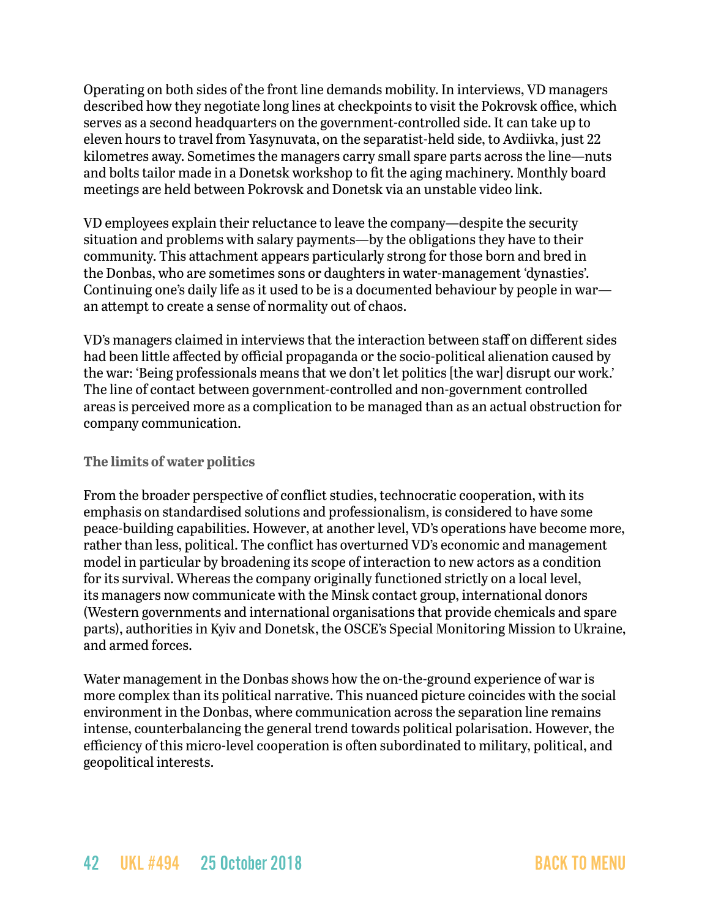Operating on both sides of the front line demands mobility. In interviews, VD managers described how they negotiate long lines at checkpoints to visit the Pokrovsk office, which serves as a second headquarters on the government-controlled side. It can take up to eleven hours to travel from Yasynuvata, on the separatist-held side, to Avdiivka, just 22 kilometres away. Sometimes the managers carry small spare parts across the line—nuts and bolts tailor made in a Donetsk workshop to fit the aging machinery. Monthly board meetings are held between Pokrovsk and Donetsk via an unstable video link.

VD employees explain their reluctance to leave the company—despite the security situation and problems with salary payments—by the obligations they have to their community. This attachment appears particularly strong for those born and bred in the Donbas, who are sometimes sons or daughters in water-management 'dynasties'. Continuing one's daily life as it used to be is a [documented behaviour by people in war](http://www.upenn.edu/pennpress/book/14525.html) an attempt to create a sense of normality out of chaos.

VD's managers claimed in interviews that the interaction between staff on different sides had been little affected by official propaganda or the socio-political alienation caused by the war: 'Being professionals means that we don't let politics [the war] disrupt our work.' The line of contact between government-controlled and non-government controlled areas is perceived more as a complication to be managed than as an actual obstruction for company communication.

#### **The limits of water politics**

From the broader perspective of conflict studies, technocratic cooperation, with its emphasis on standardised solutions and professionalism, is considered to have some peace-building capabilities. However, at another level, VD's operations have become more, rather than less, political. The conflict has overturned VD's economic and management model in particular by broadening its scope of interaction to new actors as a condition for its survival. Whereas the company originally functioned strictly on a local level, its managers now communicate with the Minsk contact group, international donors (Western governments and international organisations that provide chemicals and spare parts), authorities in Kyiv and Donetsk, the OSCE's Special Monitoring Mission to Ukraine, and armed forces.

<span id="page-41-0"></span>Water management in the Donbas shows how the on-the-ground experience of war is more complex than its political narrative. This nuanced picture coincides with [the social](https://www.zois-berlin.de/fileadmin/media/Dateien/ZOiS_Reports/ZOiS_Report_2_2017.pdf)  [environment in the Donbas](https://www.zois-berlin.de/fileadmin/media/Dateien/ZOiS_Reports/ZOiS_Report_2_2017.pdf), where communication across the separation line remains intense, counterbalancing the general trend towards political polarisation. However, the efficiency of this micro-level cooperation is often subordinated to military, political, and geopolitical interests.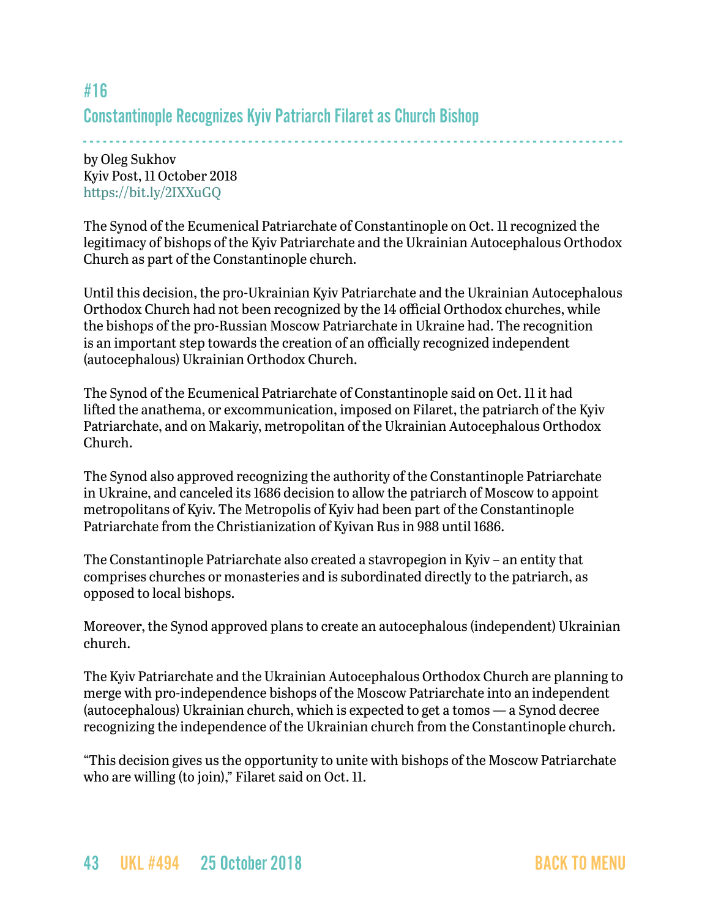# #16 Constantinople Recognizes Kyiv Patriarch Filaret as Church Bishop

- - - - - - - - - - - - - - - - - - - - - - - - - - - - - - - - - - - - - - - - - - - - - - - - - - - - - - - - - - - - - - - - - - - - - - - - - - - - - - - - - by Oleg Sukhov Kyiv Post, 11 October 2018 <https://bit.ly/2IXXuGQ>

The Synod of the Ecumenical Patriarchate of Constantinople on Oct. 11 recognized the legitimacy of bishops of the Kyiv Patriarchate and the Ukrainian Autocephalous Orthodox Church as part of the Constantinople church.

Until this decision, the pro-Ukrainian Kyiv Patriarchate and the Ukrainian Autocephalous Orthodox Church had not been recognized by the 14 official Orthodox churches, while the bishops of the pro-Russian Moscow Patriarchate in Ukraine had. The recognition is an important step towards the creation of an officially recognized independent (autocephalous) Ukrainian Orthodox Church.

The Synod of the Ecumenical Patriarchate of Constantinople said on Oct. 11 it had lifted the anathema, or excommunication, imposed on Filaret, the patriarch of the Kyiv Patriarchate, and on Makariy, metropolitan of the Ukrainian Autocephalous Orthodox Church.

The Synod also approved recognizing the authority of the Constantinople Patriarchate in Ukraine, and canceled its 1686 decision to allow the patriarch of Moscow to appoint metropolitans of Kyiv. The Metropolis of Kyiv had been part of the Constantinople Patriarchate from the Christianization of Kyivan Rus in 988 until 1686.

The Constantinople Patriarchate also created a stavropegion in Kyiv – an entity that comprises churches or monasteries and is subordinated directly to the patriarch, as opposed to local bishops.

Moreover, the Synod approved plans to create an autocephalous (independent) Ukrainian church.

The Kyiv Patriarchate and the Ukrainian Autocephalous Orthodox Church are planning to merge with pro-independence bishops of the Moscow Patriarchate into an independent (autocephalous) Ukrainian church, which is expected to get a tomos — a Synod decree recognizing the independence of the Ukrainian church from the Constantinople church.

"This decision gives us the opportunity to unite with bishops of the Moscow Patriarchate who are willing (to join)," Filaret said on Oct. 11.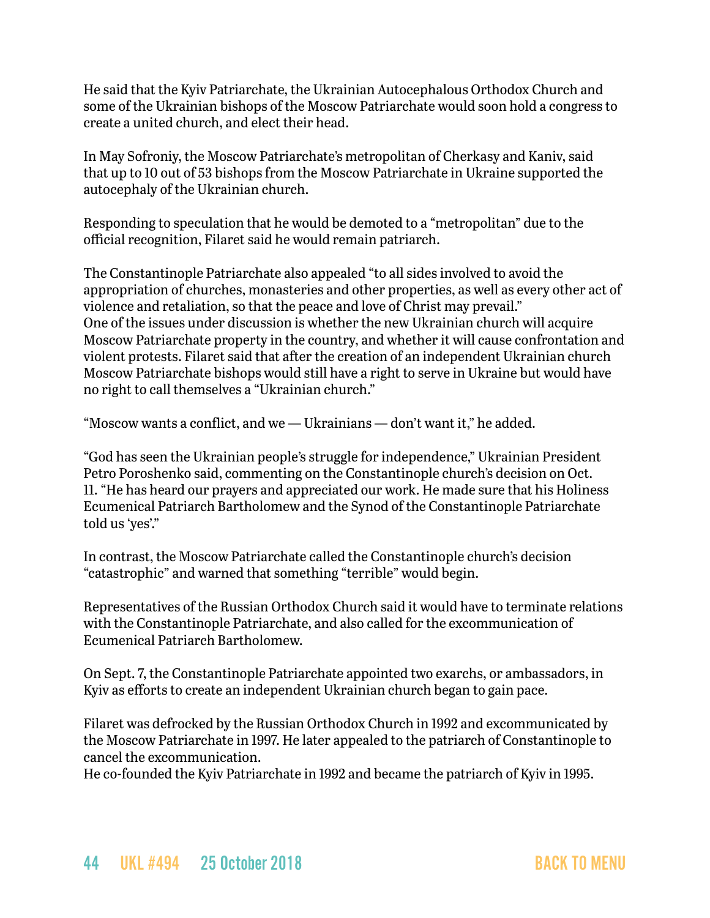He said that the Kyiv Patriarchate, the Ukrainian Autocephalous Orthodox Church and some of the Ukrainian bishops of the Moscow Patriarchate would soon hold a congress to create a united church, and elect their head.

In May Sofroniy, the Moscow Patriarchate's metropolitan of Cherkasy and Kaniv, said that up to 10 out of 53 bishops from the Moscow Patriarchate in Ukraine supported the autocephaly of the Ukrainian church.

Responding to speculation that he would be demoted to a "metropolitan" due to the official recognition, Filaret said he would remain patriarch.

The Constantinople Patriarchate also appealed "to all sides involved to avoid the appropriation of churches, monasteries and other properties, as well as every other act of violence and retaliation, so that the peace and love of Christ may prevail." One of the issues under discussion is whether the new Ukrainian church will acquire Moscow Patriarchate property in the country, and whether it will cause confrontation and violent protests. Filaret said that after the creation of an independent Ukrainian church Moscow Patriarchate bishops would still have a right to serve in Ukraine but would have no right to call themselves a "Ukrainian church."

"Moscow wants a conflict, and we — Ukrainians — don't want it," he added.

"God has seen the Ukrainian people's struggle for independence," Ukrainian President Petro Poroshenko said, commenting on the Constantinople church's decision on Oct. 11. "He has heard our prayers and appreciated our work. He made sure that his Holiness Ecumenical Patriarch Bartholomew and the Synod of the Constantinople Patriarchate told us 'yes'."

In contrast, the Moscow Patriarchate called the Constantinople church's decision "catastrophic" and warned that something "terrible" would begin.

Representatives of the Russian Orthodox Church said it would have to terminate relations with the Constantinople Patriarchate, and also called for the excommunication of Ecumenical Patriarch Bartholomew.

On Sept. 7, the Constantinople Patriarchate appointed two exarchs, or ambassadors, in Kyiv as efforts to create an independent Ukrainian church began to gain pace.

Filaret was defrocked by the Russian Orthodox Church in 1992 and excommunicated by the Moscow Patriarchate in 1997. He later appealed to the patriarch of Constantinople to cancel the excommunication.

He co-founded the Kyiv Patriarchate in 1992 and became the patriarch of Kyiv in 1995.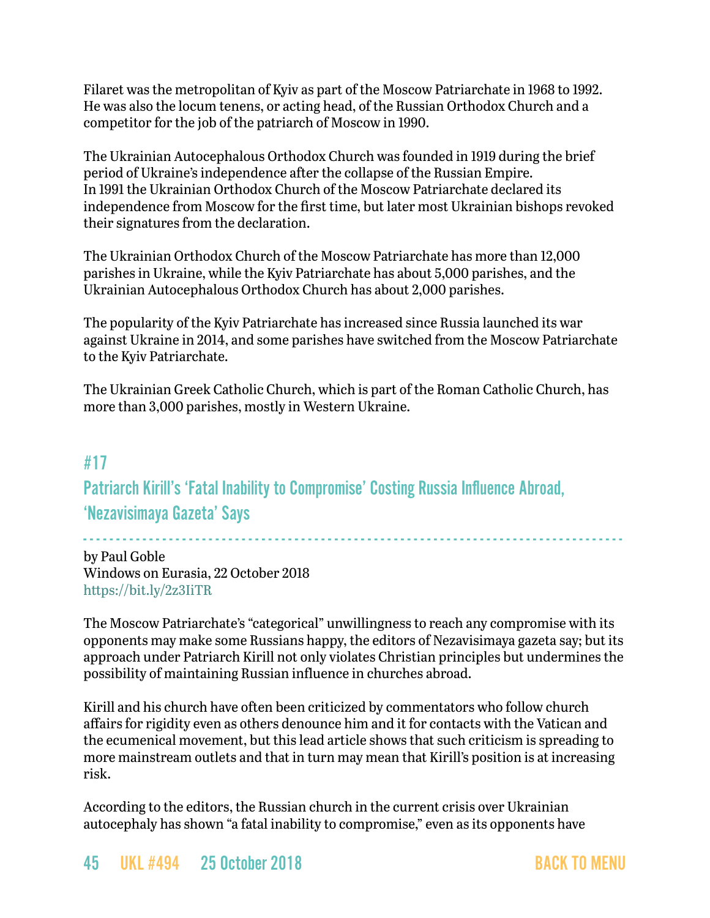Filaret was the metropolitan of Kyiv as part of the Moscow Patriarchate in 1968 to 1992. He was also the locum tenens, or acting head, of the Russian Orthodox Church and a competitor for the job of the patriarch of Moscow in 1990.

The Ukrainian Autocephalous Orthodox Church was founded in 1919 during the brief period of Ukraine's independence after the collapse of the Russian Empire. In 1991 the Ukrainian Orthodox Church of the Moscow Patriarchate declared its independence from Moscow for the first time, but later most Ukrainian bishops revoked their signatures from the declaration.

The Ukrainian Orthodox Church of the Moscow Patriarchate has more than 12,000 parishes in Ukraine, while the Kyiv Patriarchate has about 5,000 parishes, and the Ukrainian Autocephalous Orthodox Church has about 2,000 parishes.

The popularity of the Kyiv Patriarchate has increased since Russia launched its war against Ukraine in 2014, and some parishes have switched from the Moscow Patriarchate to the Kyiv Patriarchate.

The Ukrainian Greek Catholic Church, which is part of the Roman Catholic Church, has more than 3,000 parishes, mostly in Western Ukraine.

## #17

Patriarch Kirill's 'Fatal Inability to Compromise' Costing Russia Influence Abroad, 'Nezavisimaya Gazeta' Says

by Paul Goble Windows on Eurasia, 22 October 2018 <https://bit.ly/2z3IiTR>

The Moscow Patriarchate's "categorical" unwillingness to reach any compromise with its opponents may make some Russians happy, the editors of Nezavisimaya gazeta say; but its approach under Patriarch Kirill not only violates Christian principles but undermines the possibility of maintaining Russian influence in churches abroad.

- - - - - - - - - - - - - - - - - - - - - - - - - - - - - - - - - - - - - - - - - - - - - - - - - - - - - - - - - - - - - - - - - - - - - - - - - - - - - - - - - -

Kirill and his church have often been criticized by commentators who follow church affairs for rigidity even as others denounce him and it for contacts with the Vatican and the ecumenical movement, but this lead article shows that such criticism is spreading to more mainstream outlets and that in turn may mean that Kirill's position is at increasing risk.

According to the editors, the Russian church in the current crisis over Ukrainian autocephaly has shown "a fatal inability to compromise," even as its opponents have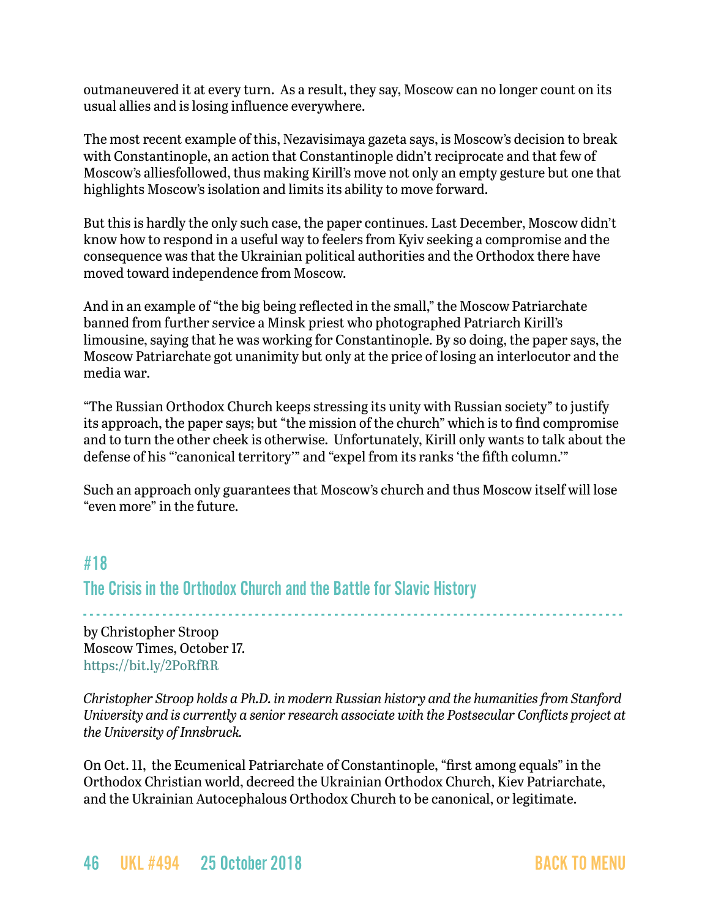outmaneuvered it at every turn. As a result, they say, Moscow can no longer count on its usual allies and is losing influence everywhere.

The most recent example of this, Nezavisimaya gazeta says, is Moscow's decision to break with Constantinople, an action that Constantinople didn't reciprocate and that few of Moscow's alliesfollowed, thus making Kirill's move not only an empty gesture but one that highlights Moscow's isolation and limits its ability to move forward.

But this is hardly the only such case, the paper continues. Last December, Moscow didn't know how to respond in a useful way to feelers from Kyiv seeking a compromise and the consequence was that the Ukrainian political authorities and the Orthodox there have moved toward independence from Moscow.

And in an example of "the big being reflected in the small," the Moscow Patriarchate banned from further service a Minsk priest who photographed Patriarch Kirill's limousine, saying that he was working for Constantinople. By so doing, the paper says, the Moscow Patriarchate got unanimity but only at the price of losing an interlocutor and the media war.

"The Russian Orthodox Church keeps stressing its unity with Russian society" to justify its approach, the paper says; but "the mission of the church" which is to find compromise and to turn the other cheek is otherwise. Unfortunately, Kirill only wants to talk about the defense of his "'canonical territory'" and "expel from its ranks 'the fifth column.'"

Such an approach only guarantees that Moscow's church and thus Moscow itself will lose "even more" in the future.

# #18 The Crisis in the Orthodox Church and the Battle for Slavic History

- - - - - - - - - - - - - - - - - - - - - - - - - - - - - - - - - - - - - - - - - - - - - - - - - - - - - - - - - - - - - - - - - - - - - - - - - - - - - - - - - -

by Christopher Stroop Moscow Times, October 17. <https://bit.ly/2PoRfRR>

*Christopher Stroop holds a Ph.D. in modern Russian history and the humanities from Stanford University and is currently a senior research associate with the Postsecular Conflicts project at the University of Innsbruck.* 

On Oct. 11, the Ecumenical Patriarchate of Constantinople, "first among equals" in the Orthodox Christian world, decreed the Ukrainian Orthodox Church, Kiev Patriarchate, and the Ukrainian Autocephalous Orthodox Church to be canonical, or legitimate.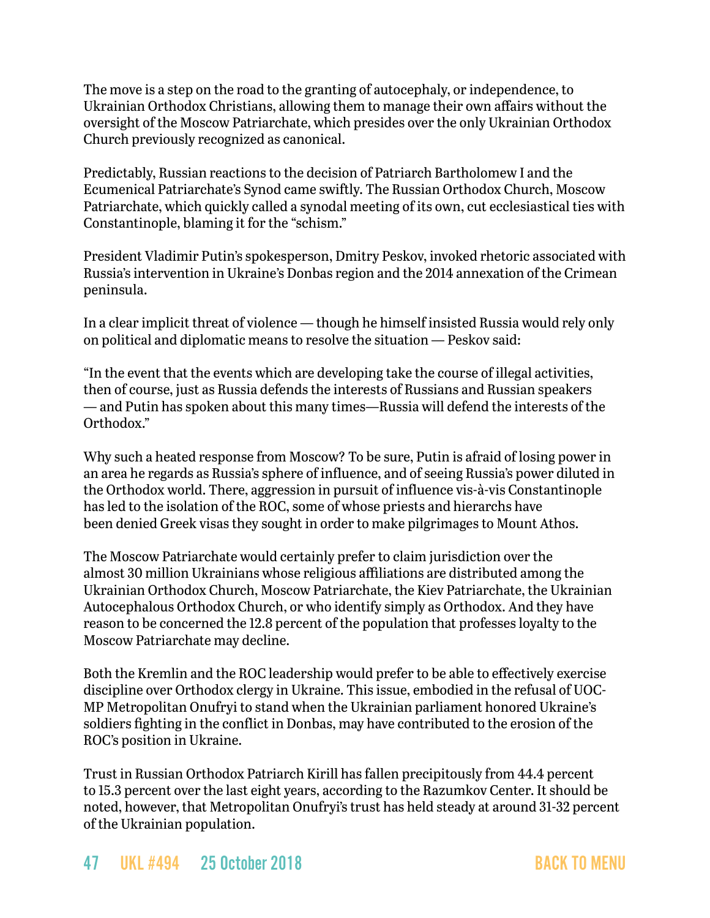The move is a step on the road to the granting of autocephaly, or independence, to Ukrainian Orthodox Christians, allowing them to manage their own affairs without the oversight of the Moscow Patriarchate, which presides over the only Ukrainian Orthodox Church previously recognized as canonical.

Predictably, Russian reactions to the decision of Patriarch Bartholomew I and the Ecumenical Patriarchate's Synod came swiftly. The Russian Orthodox Church, Moscow Patriarchate, which quickly called a synodal meeting of its own, cut ecclesiastical ties with Constantinople, blaming it for the "schism."

President Vladimir Putin's spokesperson, Dmitry Peskov, invoked rhetoric associated with Russia's intervention in Ukraine's Donbas region and the 2014 annexation of the Crimean peninsula.

In a clear implicit threat of violence — though he himself insisted Russia would rely only on political and diplomatic means to resolve the situation — Peskov said:

"In the event that the events which are developing take the course of illegal activities, then of course, just as Russia defends the interests of Russians and Russian speakers — and Putin has spoken about this many times—Russia will defend the interests of the Orthodox."

Why such a heated response from Moscow? To be sure, Putin is afraid of losing power in an area he regards as Russia's sphere of influence, and of seeing Russia's power diluted in the Orthodox world. There, aggression in pursuit of influence vis-à-vis Constantinople has led to the isolation of the ROC, some of whose priests and hierarchs have been denied Greek visas they sought in order to make pilgrimages to Mount Athos.

The Moscow Patriarchate would certainly prefer to claim jurisdiction over the almost 30 million Ukrainians whose religious affiliations are distributed among the Ukrainian Orthodox Church, Moscow Patriarchate, the Kiev Patriarchate, the Ukrainian Autocephalous Orthodox Church, or who identify simply as Orthodox. And they have reason to be concerned the 12.8 percent of the population that professes loyalty to the Moscow Patriarchate may decline.

Both the Kremlin and the ROC leadership would prefer to be able to effectively exercise discipline over Orthodox clergy in Ukraine. This issue, embodied in the refusal of UOC-MP Metropolitan Onufryi to stand when the Ukrainian parliament honored Ukraine's soldiers fighting in the conflict in Donbas, may have contributed to the erosion of the ROC's position in Ukraine.

Trust in Russian Orthodox Patriarch Kirill has fallen precipitously from 44.4 percent to 15.3 percent over the last eight years, according to the Razumkov Center. It should be noted, however, that Metropolitan Onufryi's trust has held steady at around 31-32 percent of the Ukrainian population.